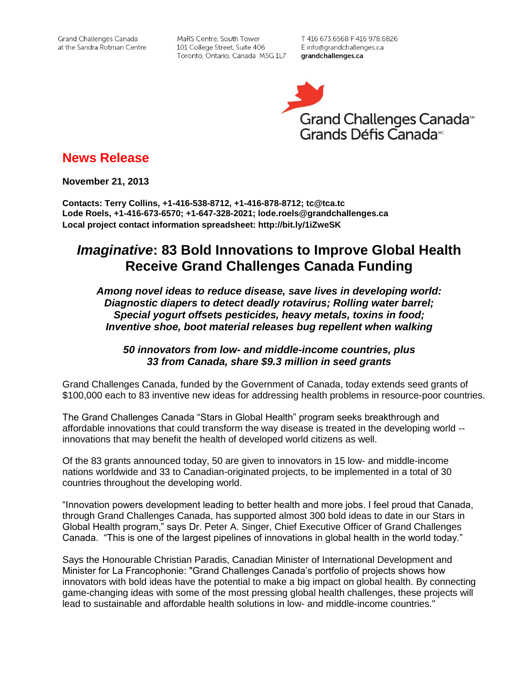Grand Challenges Canada at the Sandra Rotman Centre

MaRS Centre, South Tower 101 College Street, Suite 406 Toronto, Ontario, Canada M5G 1L7 T 416 673.6568 F 416 978.6826 E info@grandchallenges.ca grandchallenges.ca



# **News Release**

**November 21, 2013**

**Contacts: Terry Collins, +1-416-538-8712, +1-416-878-8712; tc@tca.tc Lode Roels, +1-416-673-6570; +1-647-328-2021; lode.roels@grandchallenges.ca Local project contact information spreadsheet: http://bit.ly/1iZweSK**

# *Imaginative***: 83 Bold Innovations to Improve Global Health Receive Grand Challenges Canada Funding**

## *Among novel ideas to reduce disease, save lives in developing world: Diagnostic diapers to detect deadly rotavirus; Rolling water barrel; Special yogurt offsets pesticides, heavy metals, toxins in food; Inventive shoe, boot material releases bug repellent when walking*

## *50 innovators from low- and middle-income countries, plus 33 from Canada, share \$9.3 million in seed grants*

Grand Challenges Canada, funded by the Government of Canada, today extends seed grants of \$100,000 each to 83 inventive new ideas for addressing health problems in resource-poor countries.

The Grand Challenges Canada "Stars in Global Health" program seeks breakthrough and affordable innovations that could transform the way disease is treated in the developing world - innovations that may benefit the health of developed world citizens as well.

Of the 83 grants announced today, 50 are given to innovators in 15 low- and middle-income nations worldwide and 33 to Canadian-originated projects, to be implemented in a total of 30 countries throughout the developing world.

"Innovation powers development leading to better health and more jobs. I feel proud that Canada, through Grand Challenges Canada, has supported almost 300 bold ideas to date in our Stars in Global Health program," says Dr. Peter A. Singer, Chief Executive Officer of Grand Challenges Canada. "This is one of the largest pipelines of innovations in global health in the world today."

Says the Honourable Christian Paradis, Canadian Minister of International Development and Minister for La Francophonie: "Grand Challenges Canada's portfolio of projects shows how innovators with bold ideas have the potential to make a big impact on global health. By connecting game-changing ideas with some of the most pressing global health challenges, these projects will lead to sustainable and affordable health solutions in low- and middle-income countries."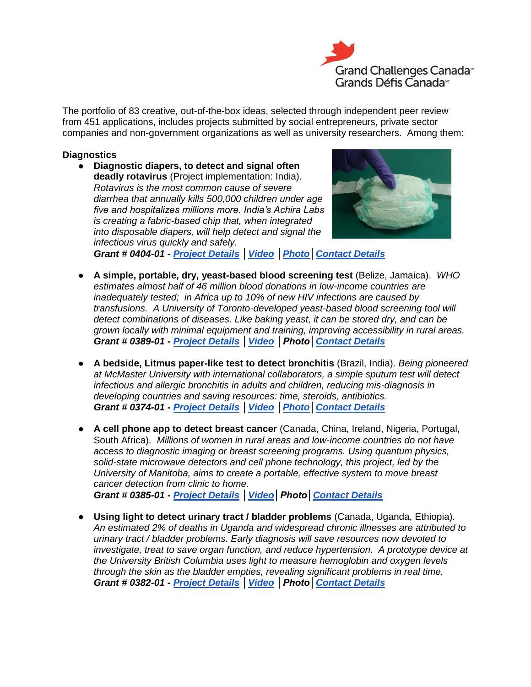

The portfolio of 83 creative, out-of-the-box ideas, selected through independent peer review from 451 applications, includes projects submitted by social entrepreneurs, private sector companies and non-government organizations as well as university researchers. Among them:

#### **Diagnostics**

● **Diagnostic diapers, to detect and signal often deadly rotavirus** (Project implementation: India). *Rotavirus is the most common cause of severe diarrhea that annually kills 500,000 children under age five and hospitalizes millions more. India's Achira Labs is creating a fabric-based chip that, when integrated into disposable diapers, will help detect and signal the infectious virus quickly and safely.* 



*Grant # 0404-01 - [Project Details](http://bit.ly/1acbmlQ) [│Video](http://youtu.be/9iabz8rCU10) [│Photo](http://www.flickr.com/photos/gchallenges/tags/040401/)[│Contact Details](http://bit.ly/1iZweSK)*

- **A simple, portable, dry, yeast-based blood screening test** (Belize, Jamaica). *WHO estimates almost half of 46 million blood donations in low-income countries are inadequately tested; in Africa up to 10% of new HIV infections are caused by transfusions. A University of Toronto-developed yeast-based blood screening tool will detect combinations of diseases. Like baking yeast, it can be stored dry, and can be grown locally with minimal equipment and training, improving accessibility in rural areas. Grant # 0389-01 - [Project Details](http://bit.ly/1alhTk9) [│Video](http://youtu.be/P31dK7T_m2U) │Photo[│Contact Details](http://bit.ly/1iZweSK)*
- **A bedside, Litmus paper-like test to detect bronchitis** (Brazil, India). *Being pioneered at McMaster University with international collaborators, a simple sputum test will detect infectious and allergic bronchitis in adults and children, reducing mis-diagnosis in developing countries and saving resources: time, steroids, antibiotics. Grant # 0374-01 - [Project Details](http://bit.ly/1g7UkgY) [│Video](http://youtu.be/aWXIZWoMMeU) [│Photo](http://www.flickr.com/photos/gchallenges/tags/037401/)[│Contact Details](http://bit.ly/1iZweSK)*
- **A cell phone app to detect breast cancer** (Canada, China, Ireland, Nigeria, Portugal, South Africa). *Millions of women in rural areas and low-income countries do not have access to diagnostic imaging or breast screening programs. Using quantum physics, solid-state microwave detectors and cell phone technology, this project, led by the University of Manitoba, aims to create a portable, effective system to move breast cancer detection from clinic to home. Grant # 0385-01 - [Project Details](http://bit.ly/HclBQm) [│Video│](http://youtu.be/GQ5-tydJYmM)Photo[│Contact Details](http://bit.ly/1iZweSK)*
- **Using light to detect urinary tract / bladder problems** (Canada, Uganda, Ethiopia). *An estimated 2% of deaths in Uganda and widespread chronic illnesses are attributed to urinary tract / bladder problems. Early diagnosis will save resources now devoted to investigate, treat to save organ function, and reduce hypertension. A prototype device at the University British Columbia uses light to measure hemoglobin and oxygen levels through the skin as the bladder empties, revealing significant problems in real time. Grant # 0382-01 - [Project Details](http://bit.ly/1f21Yqh) [│Video](http://youtu.be/dbsdMGX5KfQ) │Photo[│Contact Details](http://bit.ly/1iZweSK)*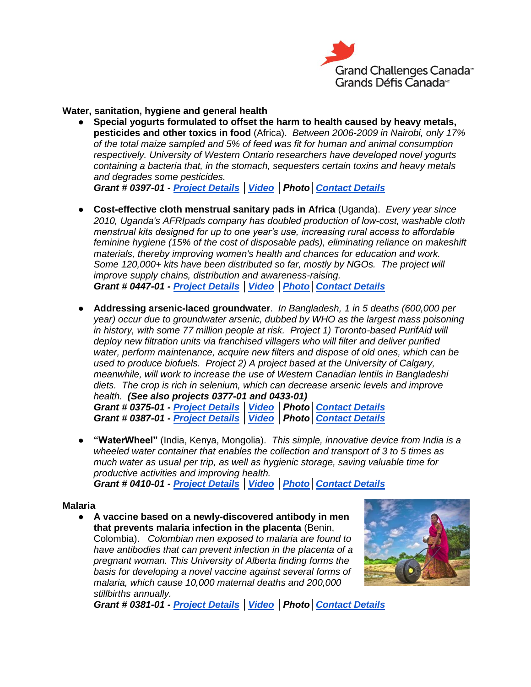

**Water, sanitation, hygiene and general health**

● **Special yogurts formulated to offset the harm to health caused by heavy metals, pesticides and other toxics in food** (Africa). *Between 2006-2009 in Nairobi, only 17% of the total maize sampled and 5% of feed was fit for human and animal consumption respectively. University of Western Ontario researchers have developed novel yogurts containing a bacteria that, in the stomach, sequesters certain toxins and heavy metals and degrades some pesticides.* 

*Grant # 0397-01 - [Project Details](http://bit.ly/1dtIe0z) [│Video](http://youtu.be/gI8LkFLUJ30) │Photo[│Contact Details](http://bit.ly/1iZweSK)*

- **Cost-effective cloth menstrual sanitary pads in Africa** (Uganda). *Every year since 2010, Uganda's AFRIpads company has doubled production of low-cost, washable cloth menstrual kits designed for up to one year's use, increasing rural access to affordable feminine hygiene (15% of the cost of disposable pads), eliminating reliance on makeshift materials, thereby improving women's health and chances for education and work. Some 120,000+ kits have been distributed so far, mostly by NGOs. The project will improve supply chains, distribution and awareness-raising. Grant # 0447-01 - [Project Details](http://bit.ly/16IXtLR) [│Video](http://youtu.be/IXg-_mQdgVg) [│Photo](http://www.flickr.com/photos/gchallenges/tags/044701/)[│Contact Details](http://bit.ly/1iZweSK)*
- **Addressing arsenic-laced groundwater**. *In Bangladesh, 1 in 5 deaths (600,000 per year) occur due to groundwater arsenic, dubbed by WHO as the largest mass poisoning in history, with some 77 million people at risk. Project 1) Toronto-based PurifAid will deploy new filtration units via franchised villagers who will filter and deliver purified water, perform maintenance, acquire new filters and dispose of old ones, which can be used to produce biofuels. Project 2) A project based at the University of Calgary, meanwhile, will work to increase the use of Western Canadian lentils in Bangladeshi diets. The crop is rich in selenium, which can decrease arsenic levels and improve health. (See also projects 0377-01 and 0433-01)*

*Grant # 0375-01 - [Project Details](http://bit.ly/1ipCItQ) [│Video](http://youtu.be/Un_61TTffsk) │Photo[│Contact Details](http://bit.ly/1iZweSK) Grant # 0387-01 - [Project Details](http://bit.ly/1aPtAdU) [│Video](http://youtu.be/tQe4MbnuCII) │Photo[│Contact Details](http://bit.ly/1iZweSK)*

● **"WaterWheel"** (India, Kenya, Mongolia). *This simple, innovative device from India is a wheeled water container that enables the collection and transport of 3 to 5 times as much water as usual per trip, as well as hygienic storage, saving valuable time for productive activities and improving health.* 

*Grant # 0410-01 - [Project Details](http://bit.ly/16jwrxv) [│Video](http://wellowater.org/) [│Photo](http://www.flickr.com/photos/gchallenges/tags/041001/)[│Contact Details](http://bit.ly/1iZweSK)*

#### **Malaria**

● **A vaccine based on a newly-discovered antibody in men that prevents malaria infection in the placenta** (Benin, Colombia). *Colombian men exposed to malaria are found to have antibodies that can prevent infection in the placenta of a pregnant woman. This University of Alberta finding forms the basis for developing a novel vaccine against several forms of malaria, which cause 10,000 maternal deaths and 200,000 stillbirths annually.* 



*Grant # 0381-01 - [Project Details](http://bit.ly/1ipyGBB) [│Video](http://youtu.be/KKYeDzQazEQ) │Photo[│Contact Details](http://bit.ly/1iZweSK)*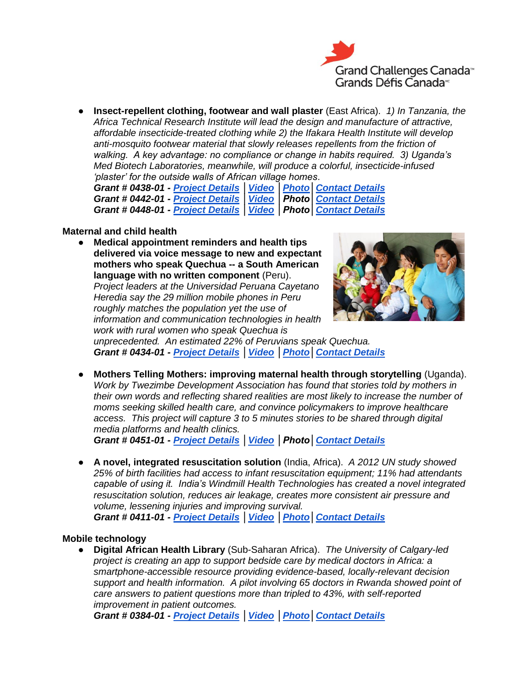

● **Insect-repellent clothing, footwear and wall plaster** (East Africa). *1) In Tanzania, the Africa Technical Research Institute will lead the design and manufacture of attractive, affordable insecticide-treated clothing while 2) the Ifakara Health Institute will develop anti-mosquito footwear material that slowly releases repellents from the friction of walking. A key advantage: no compliance or change in habits required. 3) Uganda's Med Biotech Laboratories, meanwhile, will produce a colorful, insecticide-infused 'plaster' for the outside walls of African village homes*.

*Grant # 0438-01 - [Project Details](http://bit.ly/193jUPS) [│Video](http://youtu.be/CXjGQfEKlOU) [│Photo](http://www.flickr.com/photos/gchallenges/tags/043801/)[│Contact Details](http://bit.ly/1iZweSK) Grant # 0442-01 - [Project Details](http://bit.ly/16HNlrS) [│Video](http://youtu.be/KuhSdpidJX0) │Photo[│Contact Details](http://bit.ly/1iZweSK) Grant # 0448-01 - [Project Details](http://bit.ly/1gWgKTM) [│Video](http://youtu.be/Gv1i8HoRH3E) │Photo[│Contact Details](http://bit.ly/1iZweSK)*

#### **Maternal and child health**

● **Medical appointment reminders and health tips delivered via voice message to new and expectant mothers who speak Quechua -- a South American language with no written component** (Peru). *Project leaders at the Universidad Peruana Cayetano* 

*Heredia say the 29 million mobile phones in Peru roughly matches the population yet the use of information and communication technologies in health work with rural women who speak Quechua is* 



*unprecedented. An estimated 22% of Peruvians speak Quechua. Grant # 0434-01 - [Project Details](http://bit.ly/1cdPhHb) [│Video](http://youtu.be/aLN6_1kGpcU) [│Photo](http://www.flickr.com/photos/gchallenges/tags/043401/)[│Contact Details](http://bit.ly/1iZweSK)*

● **Mothers Telling Mothers: improving maternal health through storytelling** (Uganda). *Work by Twezimbe Development Association has found that stories told by mothers in their own words and reflecting shared realities are most likely to increase the number of moms seeking skilled health care, and convince policymakers to improve healthcare access. This project will capture 3 to 5 minutes stories to be shared through digital media platforms and health clinics.* 

*Grant # 0451-01 - [Project Details](http://bit.ly/1aRBW4L) [│Video](http://youtu.be/A6bkkYsSatU) │Photo[│Contact Details](http://bit.ly/1iZweSK)*

● **A novel, integrated resuscitation solution** (India, Africa). *A 2012 UN study showed 25% of birth facilities had access to infant resuscitation equipment; 11% had attendants capable of using it. India's Windmill Health Technologies has created a novel integrated resuscitation solution, reduces air leakage, creates more consistent air pressure and volume, lessening injuries and improving survival. Grant # 0411-01 - [Project Details](http://bit.ly/1dmz17Y) [│Video](http://youtu.be/-uriWDT0sbo) [│Photo](http://www.flickr.com/photos/gchallenges/tags/041101/)[│Contact Details](http://bit.ly/1iZweSK)*

#### **Mobile technology**

● **Digital African Health Library** (Sub-Saharan Africa). *The University of Calgary-led project is creating an app to support bedside care by medical doctors in Africa: a smartphone-accessible resource providing evidence-based, locally-relevant decision support and health information. A pilot involving 65 doctors in Rwanda showed point of care answers to patient questions more than tripled to 43%, with self-reported improvement in patient outcomes.* 

*Grant # 0384-01 - [Project Details](http://bit.ly/16EOwZ7) [│Video](http://youtu.be/a9j58F86EQU) [│Photo](http://www.flickr.com/photos/gchallenges/tags/038401/)[│Contact Details](http://bit.ly/1iZweSK)*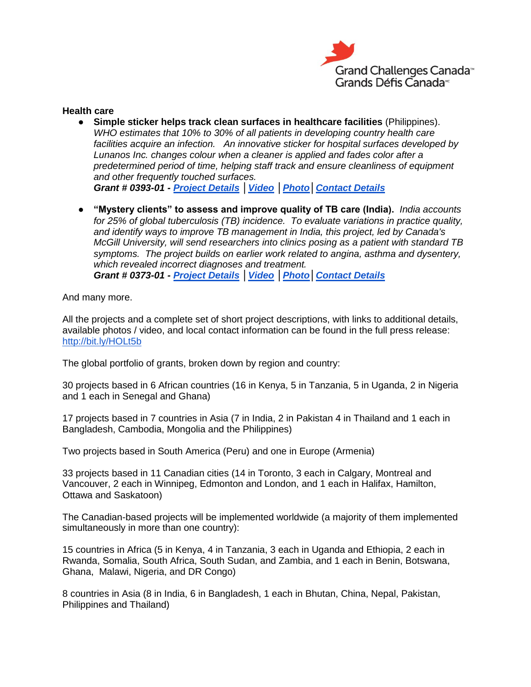

#### **Health care**

- **Simple sticker helps track clean surfaces in healthcare facilities** (Philippines). *WHO estimates that 10% to 30% of all patients in developing country health care facilities acquire an infection. An innovative sticker for hospital surfaces developed by Lunanos Inc. changes colour when a cleaner is applied and fades color after a predetermined period of time, helping staff track and ensure cleanliness of equipment and other frequently touched surfaces. Grant # 0393-01 - [Project Details](http://bit.ly/16J3IiE) [│Video](http://youtu.be/jbRxcqvdlGU) [│Photo](http://www.flickr.com/photos/gchallenges/tags/039301/)[│Contact Details](http://bit.ly/1iZweSK)*
- **"Mystery clients" to assess and improve quality of TB care (India).** *India accounts for 25% of global tuberculosis (TB) incidence. To evaluate variations in practice quality, and identify ways to improve TB management in India, this project, led by Canada's McGill University, will send researchers into clinics posing as a patient with standard TB symptoms. The project builds on earlier work related to angina, asthma and dysentery, which revealed incorrect diagnoses and treatment. Grant # 0373-01 - [Project Details](http://bit.ly/HqTduz) [│Video](http://youtu.be/L1m1wayJcPI) [│Photo](http://www.flickr.com/photos/gchallenges/tags/037301/)[│Contact Details](http://bit.ly/1iZweSK)*

And many more.

All the projects and a complete set of short project descriptions, with links to additional details, available photos / video, and local contact information can be found in the full press release: <http://bit.ly/HOLt5b>

The global portfolio of grants, broken down by region and country:

30 projects based in 6 African countries (16 in Kenya, 5 in Tanzania, 5 in Uganda, 2 in Nigeria and 1 each in Senegal and Ghana)

17 projects based in 7 countries in Asia (7 in India, 2 in Pakistan 4 in Thailand and 1 each in Bangladesh, Cambodia, Mongolia and the Philippines)

Two projects based in South America (Peru) and one in Europe (Armenia)

33 projects based in 11 Canadian cities (14 in Toronto, 3 each in Calgary, Montreal and Vancouver, 2 each in Winnipeg, Edmonton and London, and 1 each in Halifax, Hamilton, Ottawa and Saskatoon)

The Canadian-based projects will be implemented worldwide (a majority of them implemented simultaneously in more than one country):

15 countries in Africa (5 in Kenya, 4 in Tanzania, 3 each in Uganda and Ethiopia, 2 each in Rwanda, Somalia, South Africa, South Sudan, and Zambia, and 1 each in Benin, Botswana, Ghana, Malawi, Nigeria, and DR Congo)

8 countries in Asia (8 in India, 6 in Bangladesh, 1 each in Bhutan, China, Nepal, Pakistan, Philippines and Thailand)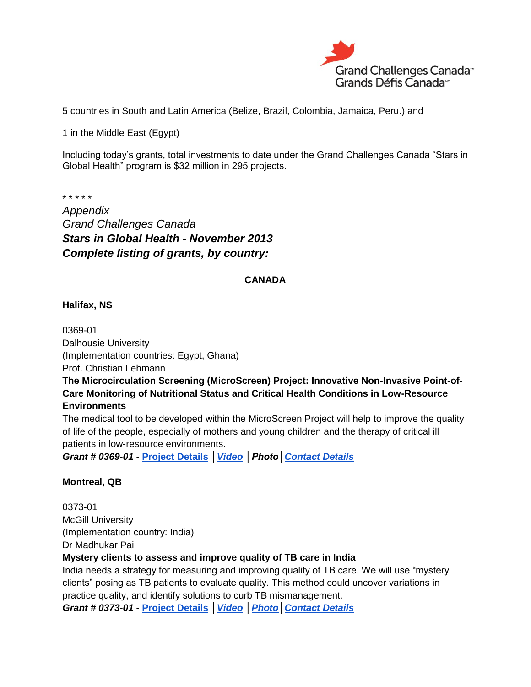

5 countries in South and Latin America (Belize, Brazil, Colombia, Jamaica, Peru.) and

1 in the Middle East (Egypt)

Including today's grants, total investments to date under the Grand Challenges Canada "Stars in Global Health" program is \$32 million in 295 projects.

\* \* \* \* \*

*Appendix Grand Challenges Canada Stars in Global Health - November 2013 Complete listing of grants, by country:*

#### **CANADA**

**Halifax, NS**

0369-01 Dalhousie University (Implementation countries: Egypt, Ghana) Prof. Christian Lehmann

**The Microcirculation Screening (MicroScreen) Project: Innovative Non-Invasive Point-of-Care Monitoring of Nutritional Status and Critical Health Conditions in Low-Resource Environments**

The medical tool to be developed within the MicroScreen Project will help to improve the quality of life of the people, especially of mothers and young children and the therapy of critical ill patients in low-resource environments.

*Grant # 0369-01 -* **[Project Details](http://bit.ly/1g7FCGS)** *[│Video](http://youtu.be/4vZBLUl6Gyc) │Photo[│Contact Details](http://bit.ly/1iZweSK)*

#### **Montreal, QB**

0373-01 McGill University (Implementation country: India) Dr Madhukar Pai

## **Mystery clients to assess and improve quality of TB care in India**

India needs a strategy for measuring and improving quality of TB care. We will use "mystery clients" posing as TB patients to evaluate quality. This method could uncover variations in practice quality, and identify solutions to curb TB mismanagement.

*Grant # 0373-01 -* **[Project Details](http://bit.ly/HqTduz)** *[│Video](http://youtu.be/L1m1wayJcPI) [│Photo](http://www.flickr.com/photos/gchallenges/tags/037301/)[│Contact Details](http://bit.ly/1iZweSK)*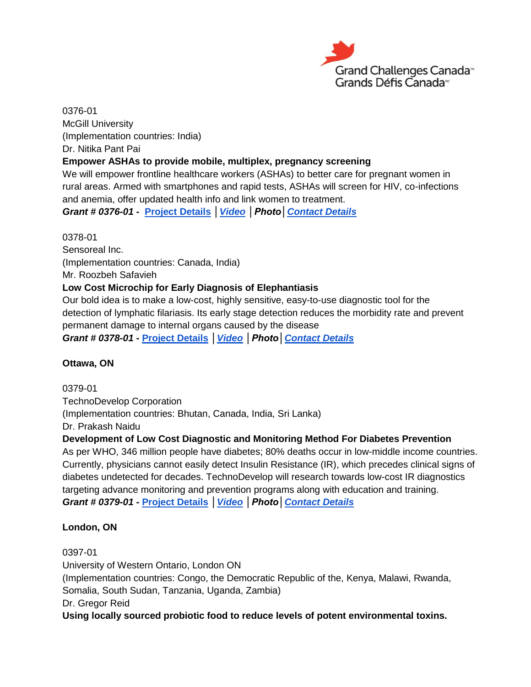

0376-01 McGill University (Implementation countries: India) Dr. Nitika Pant Pai

## **Empower ASHAs to provide mobile, multiplex, pregnancy screening**

We will empower frontline healthcare workers (ASHAs) to better care for pregnant women in rural areas. Armed with smartphones and rapid tests, ASHAs will screen for HIV, co-infections and anemia, offer updated health info and link women to treatment.

*Grant # 0376-01 -* **[Project Details](http://bit.ly/1cdLvxq)** *[│Video](http://youtu.be/JiJhnhCui3c) │Photo[│Contact Details](http://bit.ly/1iZweSK)*

0378-01 Sensoreal Inc. (Implementation countries: Canada, India) Mr. Roozbeh Safavieh **Low Cost Microchip for Early Diagnosis of Elephantiasis** Our bold idea is to make a low-cost, highly sensitive, easy-to-use diagnostic tool for the detection of lymphatic filariasis. Its early stage detection reduces the morbidity rate and prevent

permanent damage to internal organs caused by the disease

*Grant # 0378-01 -* **[Project Details](http://bit.ly/16hjtjV)** *[│Video](http://youtu.be/VwszlyLKeDI) │Photo[│Contact Details](http://bit.ly/1iZweSK)*

## **Ottawa, ON**

0379-01

TechnoDevelop Corporation (Implementation countries: Bhutan, Canada, India, Sri Lanka) Dr. Prakash Naidu

## **Development of Low Cost Diagnostic and Monitoring Method For Diabetes Prevention**

As per WHO, 346 million people have diabetes; 80% deaths occur in low-middle income countries. Currently, physicians cannot easily detect Insulin Resistance (IR), which precedes clinical signs of diabetes undetected for decades. TechnoDevelop will research towards low-cost IR diagnostics targeting advance monitoring and prevention programs along with education and training. *Grant # 0379-01 -* **[Project Details](http://bit.ly/1cpiOSh)** *[│Video](http://youtu.be/hqLQab-n1tY) │Photo[│Contact Details](http://bit.ly/1iZweSK)*

## **London, ON**

0397-01

University of Western Ontario, London ON (Implementation countries: Congo, the Democratic Republic of the, Kenya, Malawi, Rwanda, Somalia, South Sudan, Tanzania, Uganda, Zambia) Dr. Gregor Reid **Using locally sourced probiotic food to reduce levels of potent environmental toxins.**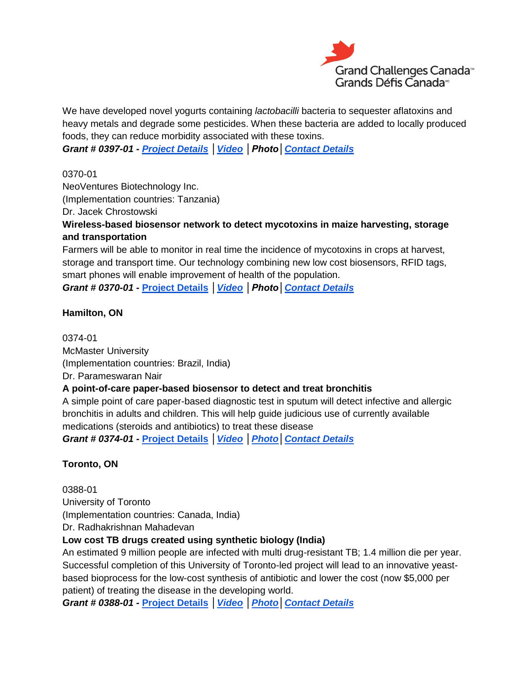

We have developed novel yogurts containing *lactobacilli* bacteria to sequester aflatoxins and heavy metals and degrade some pesticides. When these bacteria are added to locally produced foods, they can reduce morbidity associated with these toxins.

*Grant # 0397-01 - [Project Details](http://bit.ly/1dtIe0z) [│Video](http://youtu.be/gI8LkFLUJ30) │Photo[│Contact Details](http://bit.ly/1iZweSK)*

0370-01

NeoVentures Biotechnology Inc. (Implementation countries: Tanzania)

Dr. Jacek Chrostowski

**Wireless-based biosensor network to detect mycotoxins in maize harvesting, storage and transportation**

Farmers will be able to monitor in real time the incidence of mycotoxins in crops at harvest, storage and transport time. Our technology combining new low cost biosensors, RFID tags, smart phones will enable improvement of health of the population.

*Grant # 0370-01 -* **[Project Details](http://bit.ly/193k4Xo)** *[│Video](http://youtu.be/-bwZRS93268) │Photo[│Contact Details](http://bit.ly/1iZweSK)*

**Hamilton, ON**

0374-01 McMaster University (Implementation countries: Brazil, India) Dr. Parameswaran Nair **A point-of-care paper-based biosensor to detect and treat bronchitis** A simple point of care paper-based diagnostic test in sputum will detect infective and allergic bronchitis in adults and children. This will help guide judicious use of currently available

medications (steroids and antibiotics) to treat these disease

*Grant # 0374-01 -* **[Project Details](http://bit.ly/1g7UkgY)** *[│Video](http://youtu.be/aWXIZWoMMeU) [│Photo](http://www.flickr.com/photos/gchallenges/tags/037401/)[│Contact Details](http://bit.ly/1iZweSK)*

## **Toronto, ON**

0388-01 University of Toronto (Implementation countries: Canada, India) Dr. Radhakrishnan Mahadevan

## **Low cost TB drugs created using synthetic biology (India)**

An estimated 9 million people are infected with multi drug-resistant TB; 1.4 million die per year. Successful completion of this University of Toronto-led project will lead to an innovative yeastbased bioprocess for the low-cost synthesis of antibiotic and lower the cost (now \$5,000 per patient) of treating the disease in the developing world.

*Grant # 0388-01 -* **[Project Details](http://bit.ly/1f0n6gD)** *[│Video](http://youtu.be/tnOL9n06xJI) [│Photo](http://www.flickr.com/photos/gchallenges/tags/038801/)[│Contact Details](http://bit.ly/1iZweSK)*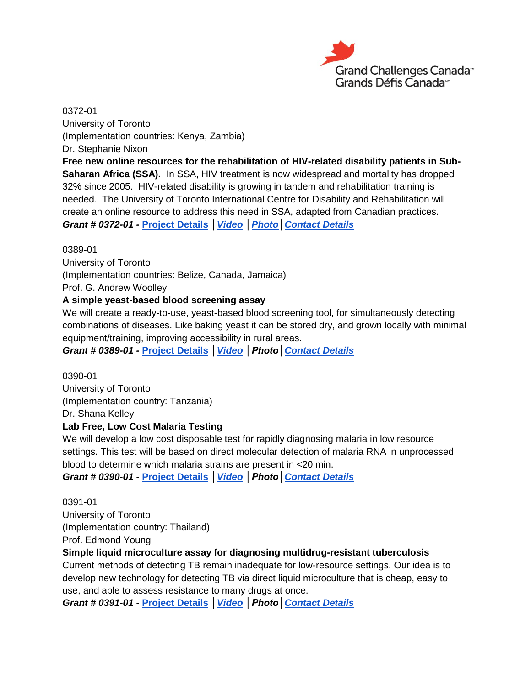

0372-01 University of Toronto (Implementation countries: Kenya, Zambia) Dr. Stephanie Nixon

**Free new online resources for the rehabilitation of HIV-related disability patients in Sub-Saharan Africa (SSA).** In SSA, HIV treatment is now widespread and mortality has dropped 32% since 2005. HIV-related disability is growing in tandem and rehabilitation training is needed. The University of Toronto International Centre for Disability and Rehabilitation will create an online resource to address this need in SSA, adapted from Canadian practices. *Grant # 0372-01 -* **[Project Details](http://bit.ly/HdVQPQ)** *[│Video](http://youtu.be/sknUJTynUno) [│Photo](http://www.flickr.com/photos/gchallenges/tags/037201/)[│Contact Details](http://bit.ly/1iZweSK)*

#### 0389-01

University of Toronto (Implementation countries: Belize, Canada, Jamaica) Prof. G. Andrew Woolley

#### **A simple yeast-based blood screening assay**

We will create a ready-to-use, yeast-based blood screening tool, for simultaneously detecting combinations of diseases. Like baking yeast it can be stored dry, and grown locally with minimal equipment/training, improving accessibility in rural areas.

*Grant # 0389-01 -* **[Project Details](http://bit.ly/1alhTk9)** *[│Video](http://youtu.be/P31dK7T_m2U) │Photo[│Contact Details](http://bit.ly/1iZweSK)*

0390-01 University of Toronto (Implementation country: Tanzania) Dr. Shana Kelley

## **Lab Free, Low Cost Malaria Testing**

We will develop a low cost disposable test for rapidly diagnosing malaria in low resource settings. This test will be based on direct molecular detection of malaria RNA in unprocessed blood to determine which malaria strains are present in <20 min.

*Grant # 0390-01 -* **[Project Details](http://bit.ly/1dmtkH9)** *[│Video](http://youtu.be/0R_1MYPAKxY) │Photo[│Contact Details](http://bit.ly/1iZweSK)*

0391-01 University of Toronto (Implementation country: Thailand) Prof. Edmond Young

#### **Simple liquid microculture assay for diagnosing multidrug-resistant tuberculosis**

Current methods of detecting TB remain inadequate for low-resource settings. Our idea is to develop new technology for detecting TB via direct liquid microculture that is cheap, easy to use, and able to assess resistance to many drugs at once.

*Grant # 0391-01 -* **[Project Details](http://bit.ly/1aCjUGT)** *[│Video](http://youtu.be/muVuusz-ewU) │Photo[│Contact Details](http://bit.ly/1iZweSK)*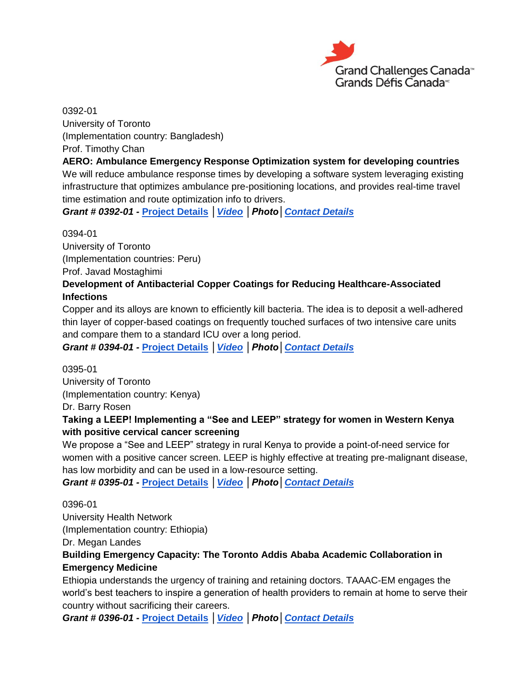

0392-01 University of Toronto (Implementation country: Bangladesh) Prof. Timothy Chan

#### **AERO: Ambulance Emergency Response Optimization system for developing countries**

We will reduce ambulance response times by developing a software system leveraging existing infrastructure that optimizes ambulance pre-positioning locations, and provides real-time travel time estimation and route optimization info to drivers.

*Grant # 0392-01 -* **[Project Details](http://bit.ly/1gWf4d2)** *[│Video](http://youtu.be/OrEfm98N2wU) │Photo[│Contact Details](http://bit.ly/1iZweSK)*

0394-01 University of Toronto (Implementation countries: Peru) Prof. Javad Mostaghimi **Development of Antibacterial Copper Coatings for Reducing Healthcare-Associated Infections**

## Copper and its alloys are known to efficiently kill bacteria. The idea is to deposit a well-adhered thin layer of copper-based coatings on frequently touched surfaces of two intensive care units and compare them to a standard ICU over a long period.

*Grant # 0394-01 -* **[Project Details](http://bit.ly/16F3Rci)** *[│Video](http://youtu.be/JFlCQPUhjoA) │Photo[│Contact Details](http://bit.ly/1iZweSK)*

0395-01 University of Toronto (Implementation country: Kenya)

Dr. Barry Rosen

## **Taking a LEEP! Implementing a "See and LEEP" strategy for women in Western Kenya with positive cervical cancer screening**

We propose a "See and LEEP" strategy in rural Kenya to provide a point-of-need service for women with a positive cancer screen. LEEP is highly effective at treating pre-malignant disease, has low morbidity and can be used in a low-resource setting.

*Grant # 0395-01 -* **[Project Details](http://bit.ly/193Bhji)** *[│Video](http://youtu.be/Hu4G6bWaj-4) │Photo[│Contact](http://bit.ly/1iZweSK) Details*

0396-01

University Health Network

(Implementation country: Ethiopia)

Dr. Megan Landes

## **Building Emergency Capacity: The Toronto Addis Ababa Academic Collaboration in Emergency Medicine**

Ethiopia understands the urgency of training and retaining doctors. TAAAC-EM engages the world's best teachers to inspire a generation of health providers to remain at home to serve their country without sacrificing their careers.

*Grant # 0396-01 -* **[Project Details](http://bit.ly/HpgE7q)** *[│Video](http://youtu.be/y2GU1P1jC1Q) │Photo[│Contact Details](http://bit.ly/1iZweSK)*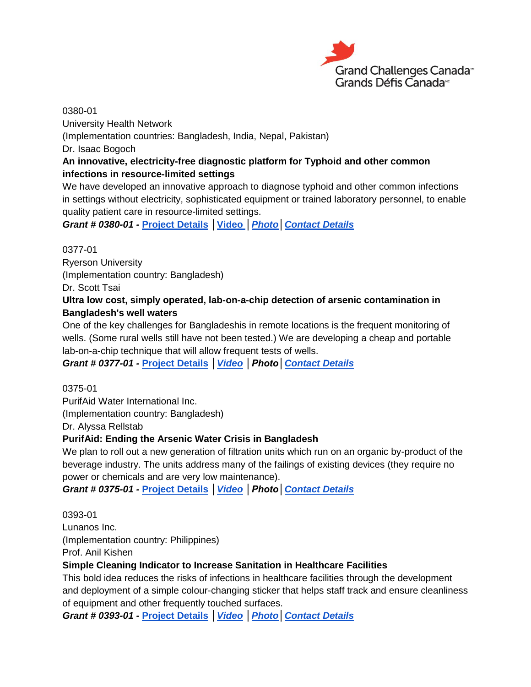

0380-01 University Health Network (Implementation countries: Bangladesh, India, Nepal, Pakistan) Dr. Isaac Bogoch **An innovative, electricity-free diagnostic platform for Typhoid and other common infections in resource-limited settings** We have developed an innovative approach to diagnose typhoid and other common infections

in settings without electricity, sophisticated equipment or trained laboratory personnel, to enable quality patient care in resource-limited settings.

*Grant # 0380-01 -* **[Project Details](http://bit.ly/1aC1VQR)** *│***[Video](http://youtu.be/l6mR3XiQ1eI)** *[│Photo](http://www.flickr.com/photos/gchallenges/tags/038001/)[│Contact Details](http://bit.ly/1iZweSK)*

0377-01 Ryerson University (Implementation country: Bangladesh) Dr. Scott Tsai

## **Ultra low cost, simply operated, lab-on-a-chip detection of arsenic contamination in Bangladesh's well waters**

One of the key challenges for Bangladeshis in remote locations is the frequent monitoring of wells. (Some rural wells still have not been tested.) We are developing a cheap and portable lab-on-a-chip technique that will allow frequent tests of wells.

*Grant # 0377-01 -* **[Project Details](http://bit.ly/HcfTxQ)** *[│Video](http://youtu.be/phRjDpgN58g) │Photo[│Contact Details](http://bit.ly/1iZweSK)*

0375-01

PurifAid Water International Inc.

(Implementation country: Bangladesh)

Dr. Alyssa Rellstab

## **PurifAid: Ending the Arsenic Water Crisis in Bangladesh**

We plan to roll out a new generation of filtration units which run on an organic by-product of the beverage industry. The units address many of the failings of existing devices (they require no power or chemicals and are very low maintenance).

*Grant # 0375-01 -* **[Project Details](http://bit.ly/1ipCItQ)** *[│Video](http://youtu.be/Un_61TTffsk) │Photo[│Contact Details](http://bit.ly/1iZweSK)*

0393-01

Lunanos Inc. (Implementation country: Philippines) Prof. Anil Kishen

## **Simple Cleaning Indicator to Increase Sanitation in Healthcare Facilities**

This bold idea reduces the risks of infections in healthcare facilities through the development and deployment of a simple colour-changing sticker that helps staff track and ensure cleanliness of equipment and other frequently touched surfaces.

*Grant # 0393-01 -* **[Project Details](http://bit.ly/16J3IiE)** *[│Video](http://youtu.be/jbRxcqvdlGU) [│Photo](http://www.flickr.com/photos/gchallenges/tags/039301/)[│Contact Details](http://bit.ly/1iZweSK)*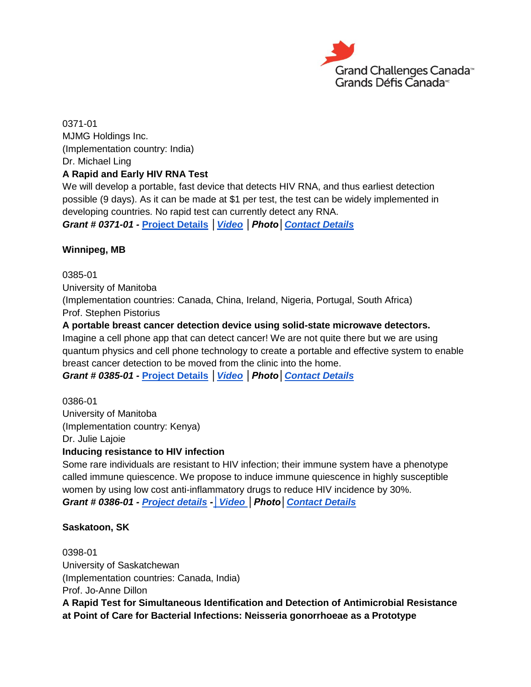

0371-01 MJMG Holdings Inc. (Implementation country: India) Dr. Michael Ling **A Rapid and Early HIV RNA Test**

We will develop a portable, fast device that detects HIV RNA, and thus earliest detection possible (9 days). As it can be made at \$1 per test, the test can be widely implemented in developing countries. No rapid test can currently detect any RNA.

*Grant # 0371-01 -* **[Project Details](http://bit.ly/1ac9UQy)** *[│Video](http://youtu.be/JEwBIBbwmvI) │Photo[│Contact Details](http://bit.ly/1iZweSK)*

#### **Winnipeg, MB**

0385-01 University of Manitoba

(Implementation countries: Canada, China, Ireland, Nigeria, Portugal, South Africa) Prof. Stephen Pistorius

#### **A portable breast cancer detection device using solid-state microwave detectors.**

Imagine a cell phone app that can detect cancer! We are not quite there but we are using quantum physics and cell phone technology to create a portable and effective system to enable breast cancer detection to be moved from the clinic into the home.

*Grant # 0385-01 -* **[Project Details](http://bit.ly/HclBQm)** *[│Video](http://youtu.be/GQ5-tydJYmM) │Photo[│Contact Details](http://bit.ly/1iZweSK)*

0386-01 University of Manitoba (Implementation country: Kenya) Dr. Julie Lajoie

## **Inducing resistance to HIV infection**

Some rare individuals are resistant to HIV infection; their immune system have a phenotype called immune quiescence. We propose to induce immune quiescence in highly susceptible women by using low cost anti-inflammatory drugs to reduce HIV incidence by 30%. *Grant # 0386-01 - [Project details](http://bit.ly/17U4rDY) -[│Video](http://youtu.be/ytHdyzPqjsc) │Photo[│Contact Details](http://bit.ly/1iZweSK)*

#### **Saskatoon, SK**

0398-01 University of Saskatchewan (Implementation countries: Canada, India) Prof. Jo-Anne Dillon **A Rapid Test for Simultaneous Identification and Detection of Antimicrobial Resistance at Point of Care for Bacterial Infections: Neisseria gonorrhoeae as a Prototype**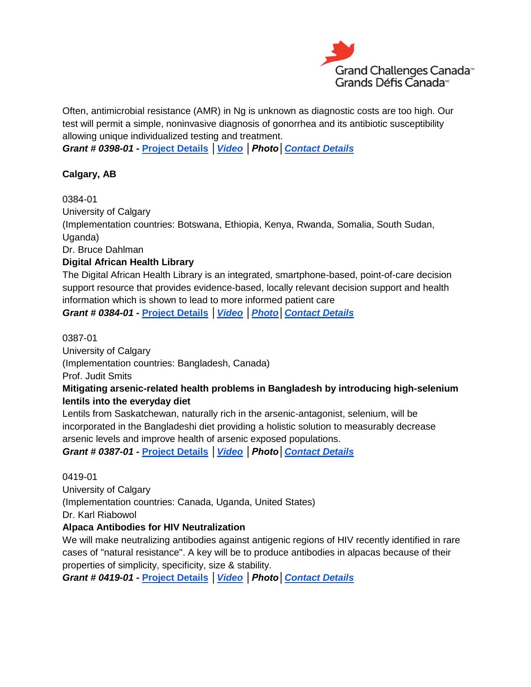

Often, antimicrobial resistance (AMR) in Ng is unknown as diagnostic costs are too high. Our test will permit a simple, noninvasive diagnosis of gonorrhea and its antibiotic susceptibility allowing unique individualized testing and treatment.

*Grant # 0398-01 -* **[Project Details](http://bit.ly/1aar1SN)** *[│Video](http://youtu.be/aJz5YJih_TY) │Photo[│Contact Details](http://bit.ly/1iZweSK)*

## **Calgary, AB**

0384-01 University of Calgary (Implementation countries: Botswana, Ethiopia, Kenya, Rwanda, Somalia, South Sudan, Uganda) Dr. Bruce Dahlman **Digital African Health Library**

The Digital African Health Library is an integrated, smartphone-based, point-of-care decision support resource that provides evidence-based, locally relevant decision support and health information which is shown to lead to more informed patient care

*Grant # 0384-01 -* **[Project Details](http://bit.ly/16EOwZ7)** *[│Video](http://youtu.be/a9j58F86EQU) [│Photo](http://www.flickr.com/photos/gchallenges/tags/038401/)[│Contact Details](http://bit.ly/1iZweSK)*

## 0387-01

University of Calgary

(Implementation countries: Bangladesh, Canada)

Prof. Judit Smits

## **Mitigating arsenic-related health problems in Bangladesh by introducing high-selenium lentils into the everyday diet**

Lentils from Saskatchewan, naturally rich in the arsenic-antagonist, selenium, will be incorporated in the Bangladeshi diet providing a holistic solution to measurably decrease arsenic levels and improve health of arsenic exposed populations.

*Grant # 0387-01 -* **[Project Details](http://bit.ly/1aPtAdU)** *[│Video](http://youtu.be/tQe4MbnuCII) │Photo[│Contact Details](http://bit.ly/1iZweSK)*

## 0419-01

University of Calgary (Implementation countries: Canada, Uganda, United States) Dr. Karl Riabowol

## **Alpaca Antibodies for HIV Neutralization**

We will make neutralizing antibodies against antigenic regions of HIV recently identified in rare cases of "natural resistance". A key will be to produce antibodies in alpacas because of their properties of simplicity, specificity, size & stability.

*Grant # 0419-01 -* **[Project Details](http://bit.ly/1g7GcnQ)** *[│Video](http://youtu.be/tWsYIZLj0EU) │Photo[│Contact Details](http://bit.ly/1iZweSK)*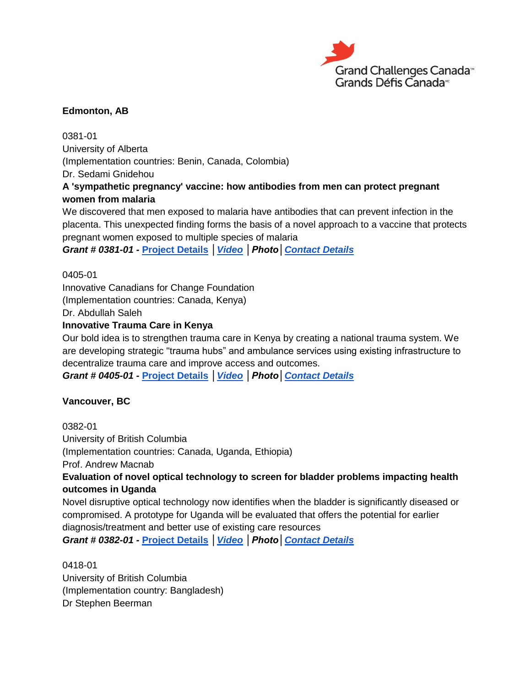

## **Edmonton, AB**

0381-01 University of Alberta (Implementation countries: Benin, Canada, Colombia) Dr. Sedami Gnidehou

## **A 'sympathetic pregnancy' vaccine: how antibodies from men can protect pregnant women from malaria**

We discovered that men exposed to malaria have antibodies that can prevent infection in the placenta. This unexpected finding forms the basis of a novel approach to a vaccine that protects pregnant women exposed to multiple species of malaria

*Grant # 0381-01 -* **[Project Details](http://bit.ly/1ipyGBB)** *[│Video](http://youtu.be/KKYeDzQazEQ) │Photo[│Contact Details](http://bit.ly/1iZweSK)*

0405-01

Innovative Canadians for Change Foundation

(Implementation countries: Canada, Kenya)

Dr. Abdullah Saleh

## **Innovative Trauma Care in Kenya**

Our bold idea is to strengthen trauma care in Kenya by creating a national trauma system. We are developing strategic "trauma hubs" and ambulance services using existing infrastructure to decentralize trauma care and improve access and outcomes.

*Grant # 0405-01 -* **[Project Details](http://bit.ly/HdPxf8)** *[│Video](http://youtu.be/SwWwoQSfGGk) │Photo[│Contact Details](http://bit.ly/1iZweSK)*

## **Vancouver, BC**

0382-01 University of British Columbia (Implementation countries: Canada, Uganda, Ethiopia) Prof. Andrew Macnab **Evaluation of novel optical technology to screen for bladder problems impacting health outcomes in Uganda** Novel disruptive optical technology now identifies when the bladder is significantly diseased or compromised. A prototype for Uganda will be evaluated that offers the potential for earlier

diagnosis/treatment and better use of existing care resources

*Grant # 0382-01 -* **[Project Details](http://bit.ly/1f21Yqh)** *[│Video](http://youtu.be/dbsdMGX5KfQ) │Photo[│Contact Details](http://bit.ly/1iZweSK)*

0418-01 University of British Columbia (Implementation country: Bangladesh) Dr Stephen Beerman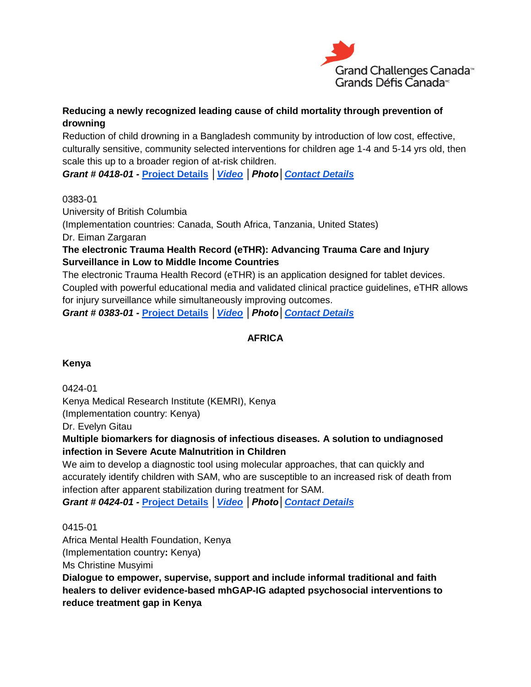

## **Reducing a newly recognized leading cause of child mortality through prevention of drowning**

Reduction of child drowning in a Bangladesh community by introduction of low cost, effective, culturally sensitive, community selected interventions for children age 1-4 and 5-14 yrs old, then scale this up to a broader region of at-risk children.

*Grant # 0418-01 -* **[Project Details](http://bit.ly/16GQRgW)** *[│Video](http://youtu.be/q9i1bpPpols) │Photo[│Contact Details](http://bit.ly/1iZweSK)*

#### 0383-01

University of British Columbia (Implementation countries: Canada, South Africa, Tanzania, United States) Dr. Eiman Zargaran

## **The electronic Trauma Health Record (eTHR): Advancing Trauma Care and Injury Surveillance in Low to Middle Income Countries**

The electronic Trauma Health Record (eTHR) is an application designed for tablet devices. Coupled with powerful educational media and validated clinical practice guidelines, eTHR allows for injury surveillance while simultaneously improving outcomes.

*Grant # 0383-01 -* **[Project Details](http://bit.ly/HcfUSp)** *[│Video](http://youtu.be/JIrIz5oNKk0) │Photo[│Contact Details](http://bit.ly/1iZweSK)*

## **AFRICA**

## **Kenya**

0424-01

Kenya Medical Research Institute (KEMRI), Kenya (Implementation country: Kenya)

Dr. Evelyn Gitau

## **Multiple biomarkers for diagnosis of infectious diseases. A solution to undiagnosed infection in Severe Acute Malnutrition in Children**

We aim to develop a diagnostic tool using molecular approaches, that can quickly and accurately identify children with SAM, who are susceptible to an increased risk of death from infection after apparent stabilization during treatment for SAM.

*Grant # 0424-01 -* **[Project Details](http://bit.ly/1aCm89c)** *[│Video](http://youtu.be/x7Stzh-lppQ) │Photo[│Contact Details](http://bit.ly/1iZweSK)*

0415-01

Africa Mental Health Foundation, Kenya

(Implementation country**:** Kenya)

Ms Christine Musyimi

**Dialogue to empower, supervise, support and include informal traditional and faith healers to deliver evidence-based mhGAP-IG adapted psychosocial interventions to reduce treatment gap in Kenya**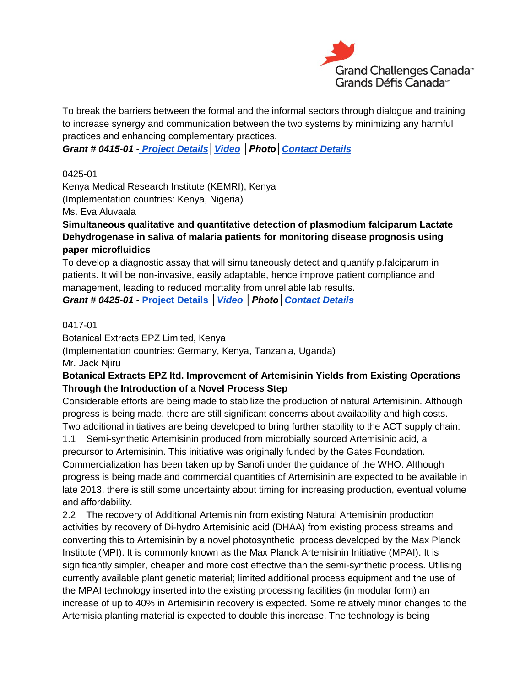

To break the barriers between the formal and the informal sectors through dialogue and training to increase synergy and communication between the two systems by minimizing any harmful practices and enhancing complementary practices.

*Grant # 0415-01 - [Project Details](http://bit.ly/18vbV9T)[│Video](http://youtu.be/z5mwP_Jk9to) │Photo[│Contact Details](http://bit.ly/1iZweSK)*

0425-01

Kenya Medical Research Institute (KEMRI), Kenya (Implementation countries: Kenya, Nigeria)

Ms. Eva Aluvaala

**Simultaneous qualitative and quantitative detection of plasmodium falciparum Lactate Dehydrogenase in saliva of malaria patients for monitoring disease prognosis using paper microfluidics**

To develop a diagnostic assay that will simultaneously detect and quantify p.falciparum in patients. It will be non-invasive, easily adaptable, hence improve patient compliance and management, leading to reduced mortality from unreliable lab results.

*Grant # 0425-01 -* **[Project Details](http://bit.ly/16Fj2lF)** *[│Video](http://youtu.be/WQuOu7g77ys) │Photo[│Contact Details](http://bit.ly/1iZweSK)*

#### 0417-01

Botanical Extracts EPZ Limited, Kenya

(Implementation countries: Germany, Kenya, Tanzania, Uganda)

Mr. Jack Njiru

## **Botanical Extracts EPZ ltd. Improvement of Artemisinin Yields from Existing Operations Through the Introduction of a Novel Process Step**

Considerable efforts are being made to stabilize the production of natural Artemisinin. Although progress is being made, there are still significant concerns about availability and high costs. Two additional initiatives are being developed to bring further stability to the ACT supply chain:

1.1 Semi-synthetic Artemisinin produced from microbially sourced Artemisinic acid, a precursor to Artemisinin. This initiative was originally funded by the Gates Foundation. Commercialization has been taken up by Sanofi under the guidance of the WHO. Although progress is being made and commercial quantities of Artemisinin are expected to be available in late 2013, there is still some uncertainty about timing for increasing production, eventual volume and affordability.

2.2 The recovery of Additional Artemisinin from existing Natural Artemisinin production activities by recovery of Di-hydro Artemisinic acid (DHAA) from existing process streams and converting this to Artemisinin by a novel photosynthetic process developed by the Max Planck Institute (MPI). It is commonly known as the Max Planck Artemisinin Initiative (MPAI). It is significantly simpler, cheaper and more cost effective than the semi-synthetic process. Utilising currently available plant genetic material; limited additional process equipment and the use of the MPAI technology inserted into the existing processing facilities (in modular form) an increase of up to 40% in Artemisinin recovery is expected. Some relatively minor changes to the Artemisia planting material is expected to double this increase. The technology is being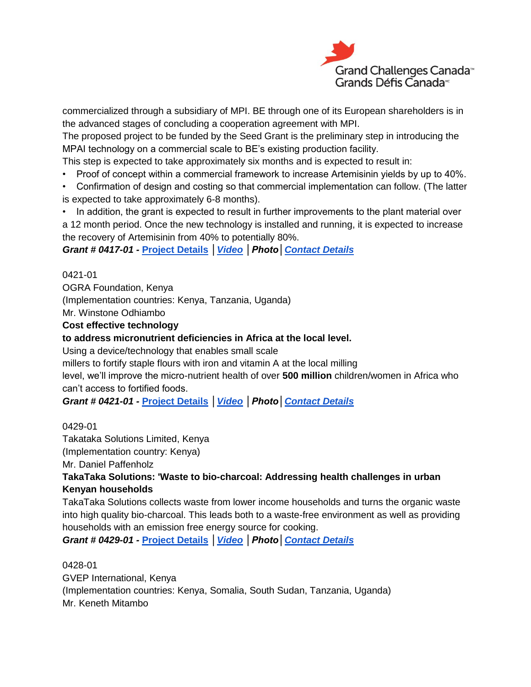

commercialized through a subsidiary of MPI. BE through one of its European shareholders is in the advanced stages of concluding a cooperation agreement with MPI.

The proposed project to be funded by the Seed Grant is the preliminary step in introducing the MPAI technology on a commercial scale to BE's existing production facility.

This step is expected to take approximately six months and is expected to result in:

- Proof of concept within a commercial framework to increase Artemisinin yields by up to 40%.
- Confirmation of design and costing so that commercial implementation can follow. (The latter is expected to take approximately 6-8 months).

• In addition, the grant is expected to result in further improvements to the plant material over

a 12 month period. Once the new technology is installed and running, it is expected to increase the recovery of Artemisinin from 40% to potentially 80%.

*Grant # 0417-01 -* **[Project Details](http://bit.ly/196ZkxY)** *[│Video](http://youtu.be/O7-JIGeqgyM) │Photo[│Contact Details](http://bit.ly/1iZweSK)*

0421-01

OGRA Foundation, Kenya

(Implementation countries: Kenya, Tanzania, Uganda)

Mr. Winstone Odhiambo

**Cost effective technology**

#### **to address micronutrient deficiencies in Africa at the local level.**

Using a device/technology that enables small scale

millers to fortify staple flours with iron and vitamin A at the local milling

level, we'll improve the micro-nutrient health of over **500 million** children/women in Africa who can't access to fortified foods.

*Grant # 0421-01 -* **[Project Details](http://bit.ly/1accoym)** *[│Video](http://youtu.be/hyVf0hlzilA) │Photo[│Contact Details](http://bit.ly/1iZweSK)*

#### 0429-01

Takataka Solutions Limited, Kenya

(Implementation country: Kenya)

Mr. Daniel Paffenholz

#### **TakaTaka Solutions: 'Waste to bio-charcoal: Addressing health challenges in urban Kenyan households**

TakaTaka Solutions collects waste from lower income households and turns the organic waste into high quality bio-charcoal. This leads both to a waste-free environment as well as providing households with an emission free energy source for cooking.

*Grant # 0429-01 -* **[Project Details](http://bit.ly/HtgNWL)** *[│Video](http://youtu.be/p59WfVyc5Io) │Photo[│Contact Details](http://bit.ly/1iZweSK)*

#### 0428-01

GVEP International, Kenya

(Implementation countries: Kenya, Somalia, South Sudan, Tanzania, Uganda) Mr. Keneth Mitambo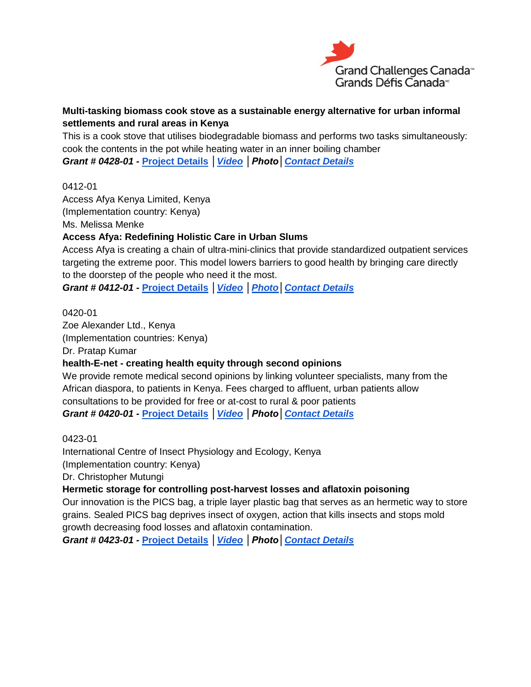

## **Multi-tasking biomass cook stove as a sustainable energy alternative for urban informal settlements and rural areas in Kenya**

This is a cook stove that utilises biodegradable biomass and performs two tasks simultaneously: cook the contents in the pot while heating water in an inner boiling chamber *Grant # 0428-01 -* **[Project](http://bit.ly/1aFaElp) Details** *[│Video](http://youtu.be/_354qtK4X8k) │Photo[│Contact Details](http://bit.ly/1iZweSK)*

#### 0412-01

Access Afya Kenya Limited, Kenya (Implementation country: Kenya) Ms. Melissa Menke

## **Access Afya: Redefining Holistic Care in Urban Slums**

Access Afya is creating a chain of ultra-mini-clinics that provide standardized outpatient services targeting the extreme poor. This model lowers barriers to good health by bringing care directly to the doorstep of the people who need it the most.

*Grant # 0412-01 -* **[Project Details](http://bit.ly/1dj9JYb)** *[│Video](http://youtu.be/LHPoeH04yKk) [│Photo](http://www.flickr.com/photos/accessafya/with/8871820755/)[│Contact Details](http://bit.ly/1iZweSK)*

0420-01 Zoe Alexander Ltd., Kenya (Implementation countries: Kenya) Dr. Pratap Kumar

## **health-E-net - creating health equity through second opinions**

We provide remote medical second opinions by linking volunteer specialists, many from the African diaspora, to patients in Kenya. Fees charged to affluent, urban patients allow consultations to be provided for free or at-cost to rural & poor patients *Grant # 0420-01 -* **[Project Details](http://bit.ly/1cdP5Yt)** *[│Video](http://youtu.be/Ry-ScVvnQr8) │Photo[│Contact Details](http://bit.ly/1iZweSK)*

## 0423-01

International Centre of Insect Physiology and Ecology, Kenya

(Implementation country: Kenya)

Dr. Christopher Mutungi

## **Hermetic storage for controlling post-harvest losses and aflatoxin poisoning**

Our innovation is the PICS bag, a triple layer plastic bag that serves as an hermetic way to store grains. Sealed PICS bag deprives insect of oxygen, action that kills insects and stops mold growth decreasing food losses and aflatoxin contamination.

*Grant # 0423-01 -* **[Project Details](http://bit.ly/1aF31LH)** *[│Video](http://youtu.be/xVRs8n9bHd4) │Photo[│Contact Details](http://bit.ly/1iZweSK)*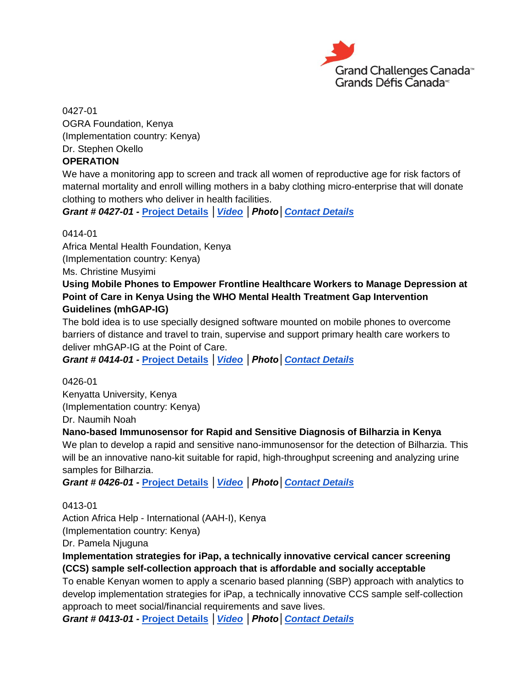

0427-01 OGRA Foundation, Kenya (Implementation country: Kenya) Dr. Stephen Okello

## **OPERATION**

We have a monitoring app to screen and track all women of reproductive age for risk factors of maternal mortality and enroll willing mothers in a baby clothing micro-enterprise that will donate clothing to mothers who deliver in health facilities.

*Grant # 0427-01 -* **[Project Details](http://bit.ly/1g9Y5me)** *[│Video](http://youtu.be/SjiNO7KcsKY) │Photo[│Contact Details](http://bit.ly/1iZweSK)*

0414-01

Africa Mental Health Foundation, Kenya (Implementation country: Kenya) Ms. Christine Musyimi

## **Using Mobile Phones to Empower Frontline Healthcare Workers to Manage Depression at Point of Care in Kenya Using the WHO Mental Health Treatment Gap Intervention Guidelines (mhGAP-IG)**

The bold idea is to use specially designed software mounted on mobile phones to overcome barriers of distance and travel to train, supervise and support primary health care workers to deliver mhGAP-IG at the Point of Care.

*Grant # 0414-01 -* **[Project Details](http://bit.ly/1g9SgVG)** *[│Video](http://youtu.be/0pkxCjzFVeQ) │Photo[│Contact Details](http://bit.ly/1iZweSK)*

0426-01 Kenyatta University, Kenya (Implementation country: Kenya) Dr. Naumih Noah

## **Nano-based Immunosensor for Rapid and Sensitive Diagnosis of Bilharzia in Kenya**

We plan to develop a rapid and sensitive nano-immunosensor for the detection of Bilharzia. This will be an innovative nano-kit suitable for rapid, high-throughput screening and analyzing urine samples for Bilharzia.

*Grant # 0426-01 -* **[Project Details](http://bit.ly/HdLy20)** *[│Video](http://youtu.be/96EmIOonAWI) │Photo[│Contact Details](http://bit.ly/1iZweSK)*

0413-01

Action Africa Help - International (AAH-I), Kenya

(Implementation country: Kenya)

Dr. Pamela Njuguna

## **Implementation strategies for iPap, a technically innovative cervical cancer screening (CCS) sample self-collection approach that is affordable and socially acceptable**

To enable Kenyan women to apply a scenario based planning (SBP) approach with analytics to develop implementation strategies for iPap, a technically innovative CCS sample self-collection approach to meet social/financial requirements and save lives.

*Grant # 0413-01 -* **[Project Details](http://bit.ly/1aF0TUp)** *[│Video](http://youtu.be/QqOb5Lgmivk) │Photo[│Contact Details](http://bit.ly/1iZweSK)*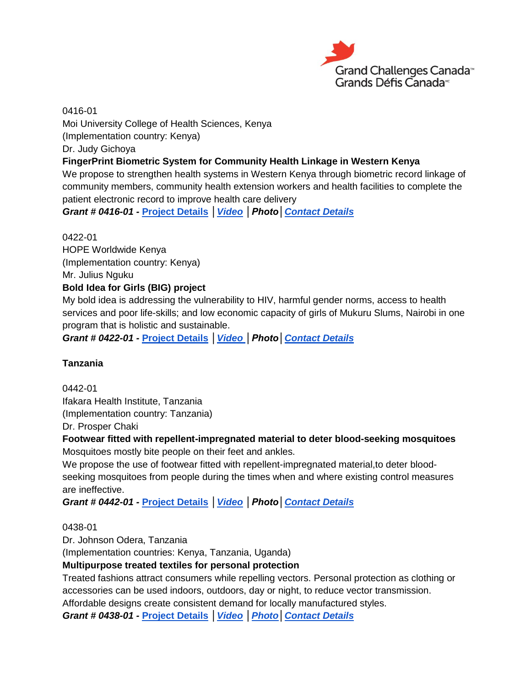

0416-01

Moi University College of Health Sciences, Kenya

(Implementation country: Kenya)

Dr. Judy Gichoya

## **FingerPrint Biometric System for Community Health Linkage in Western Kenya**

We propose to strengthen health systems in Western Kenya through biometric record linkage of community members, community health extension workers and health facilities to complete the patient electronic record to improve health care delivery

*Grant # 0416-01 -* **[Project Details](http://bit.ly/1hqBzV4)** *[│Video](http://youtu.be/tn8rLWxb278) │Photo[│Contact Details](http://bit.ly/1iZweSK)*

0422-01 HOPE Worldwide Kenya (Implementation country: Kenya) Mr. Julius Nguku **Bold Idea for Girls (BIG) project**

My bold idea is addressing the vulnerability to HIV, harmful gender norms, access to health services and poor life-skills; and low economic capacity of girls of Mukuru Slums, Nairobi in one program that is holistic and sustainable.

*Grant # 0422-01 -* **[Project Details](http://bit.ly/17uSYs5)** *[│Video │](http://youtu.be/AkjBuRvYPXg)Photo[│Contact Details](http://bit.ly/1iZweSK)*

## **Tanzania**

0442-01 Ifakara Health Institute, Tanzania (Implementation country: Tanzania)

Dr. Prosper Chaki

#### **Footwear fitted with repellent-impregnated material to deter blood-seeking mosquitoes** Mosquitoes mostly bite people on their feet and ankles.

We propose the use of footwear fitted with repellent-impregnated material,to deter bloodseeking mosquitoes from people during the times when and where existing control measures are ineffective.

*Grant # 0442-01 -* **[Project Details](http://bit.ly/16HNlrS)** *[│Video](http://youtu.be/KuhSdpidJX0) │Photo[│Contact Details](http://bit.ly/1iZweSK)*

0438-01

Dr. Johnson Odera, Tanzania

(Implementation countries: Kenya, Tanzania, Uganda)

## **Multipurpose treated textiles for personal protection**

Treated fashions attract consumers while repelling vectors. Personal protection as clothing or accessories can be used indoors, outdoors, day or night, to reduce vector transmission.

Affordable designs create consistent demand for locally manufactured styles.

*Grant # 0438-01 -* **[Project Details](http://bit.ly/193jUPS)** *[│Video](http://youtu.be/CXjGQfEKlOU) [│Photo](http://www.flickr.com/photos/gchallenges/tags/043801/)[│Contact Details](http://bit.ly/1iZweSK)*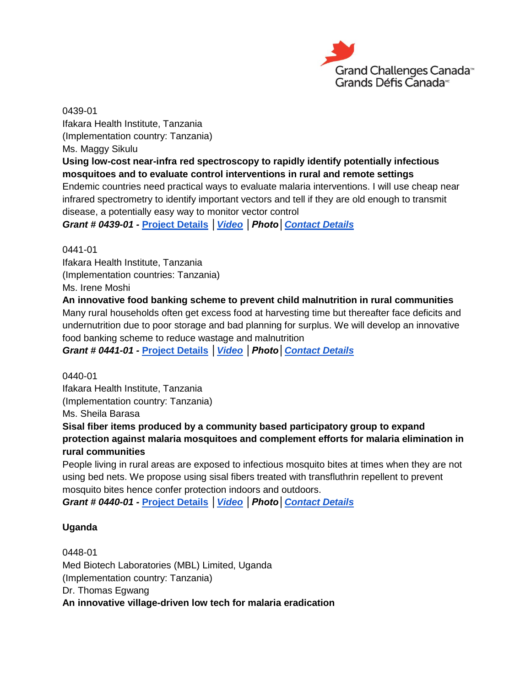

0439-01 Ifakara Health Institute, Tanzania (Implementation country: Tanzania) Ms. Maggy Sikulu **Using low-cost near-infra red spectroscopy to rapidly identify potentially infectious mosquitoes and to evaluate control interventions in rural and remote settings** Endemic countries need practical ways to evaluate malaria interventions. I will use cheap near infrared spectrometry to identify important vectors and tell if they are old enough to transmit disease, a potentially easy way to monitor vector control *Grant # 0439-01 -* **[Project Details](http://bit.ly/1avy1f7)** *[│Video](http://youtu.be/1O3VSX1QROQ) │Photo[│Contact Details](http://bit.ly/1iZweSK)*

0441-01

Ifakara Health Institute, Tanzania (Implementation countries: Tanzania) Ms. Irene Moshi

**An innovative food banking scheme to prevent child malnutrition in rural communities**

Many rural households often get excess food at harvesting time but thereafter face deficits and undernutrition due to poor storage and bad planning for surplus. We will develop an innovative food banking scheme to reduce wastage and malnutrition

*Grant # 0441-01 -* **[Project Details](http://bit.ly/1dmFJKV)** *[│Video](http://youtu.be/3UIb-tiatA8) │Photo[│Contact Details](http://bit.ly/1iZweSK)*

0440-01 Ifakara Health Institute, Tanzania (Implementation country: Tanzania) Ms. Sheila Barasa **Sisal fiber items produced by a community based participatory group to expand** 

**protection against malaria mosquitoes and complement efforts for malaria elimination in rural communities**

People living in rural areas are exposed to infectious mosquito bites at times when they are not using bed nets. We propose using sisal fibers treated with transfluthrin repellent to prevent mosquito bites hence confer protection indoors and outdoors.

*Grant # 0440-01 -* **[Project Details](http://bit.ly/1gYmkVG)** *[│Video](http://youtu.be/Ly8csSe4az0) │Photo[│Contact Details](http://bit.ly/1iZweSK)*

#### **Uganda**

0448-01 Med Biotech Laboratories (MBL) Limited, Uganda (Implementation country: Tanzania) Dr. Thomas Egwang **An innovative village-driven low tech for malaria eradication**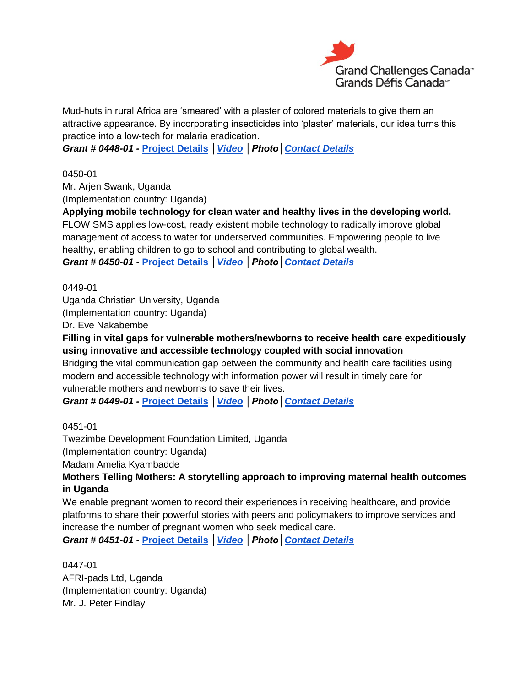

Mud-huts in rural Africa are 'smeared' with a plaster of colored materials to give them an attractive appearance. By incorporating insecticides into 'plaster' materials, our idea turns this practice into a low-tech for malaria eradication.

*Grant # 0448-01 -* **[Project Details](http://bit.ly/1gWgKTM)** *[│Video](http://youtu.be/Gv1i8HoRH3E) │Photo[│Contact Details](http://bit.ly/1iZweSK)*

0450-01

Mr. Arjen Swank, Uganda (Implementation country: Uganda)

**Applying mobile technology for clean water and healthy lives in the developing world.** FLOW SMS applies low-cost, ready existent mobile technology to radically improve global management of access to water for underserved communities. Empowering people to live healthy, enabling children to go to school and contributing to global wealth.

*Grant # 0450-01 -* **[Project Details](http://bit.ly/1dFdA4w)** *[│Video](http://youtu.be/rwltXLNt1gQ) │Photo[│Contact Details](http://bit.ly/1iZweSK)*

0449-01

Uganda Christian University, Uganda (Implementation country: Uganda)

Dr. Eve Nakabembe

**Filling in vital gaps for vulnerable mothers/newborns to receive health care expeditiously using innovative and accessible technology coupled with social innovation**

Bridging the vital communication gap between the community and health care facilities using modern and accessible technology with information power will result in timely care for vulnerable mothers and newborns to save their lives.

*Grant # 0449-01 -* **[Project Details](http://bit.ly/1accndE)** *[│Video](http://youtu.be/KZvBAkmUZs4) │Photo[│Contact Details](http://bit.ly/1iZweSK)*

0451-01

Twezimbe Development Foundation Limited, Uganda (Implementation country: Uganda)

Madam Amelia Kyambadde

**Mothers Telling Mothers: A storytelling approach to improving maternal health outcomes in Uganda**

We enable pregnant women to record their experiences in receiving healthcare, and provide platforms to share their powerful stories with peers and policymakers to improve services and increase the number of pregnant women who seek medical care.

*Grant # 0451-01 -* **[Project Details](http://bit.ly/1aRBW4L)** *[│Video](http://youtu.be/A6bkkYsSatU) │Photo[│Contact Details](http://bit.ly/1iZweSK)*

0447-01 AFRI-pads Ltd, Uganda (Implementation country: Uganda) Mr. J. Peter Findlay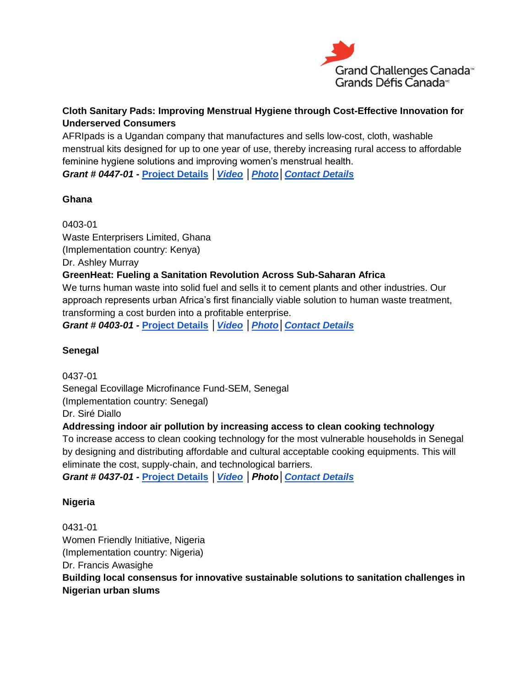

## **Cloth Sanitary Pads: Improving Menstrual Hygiene through Cost-Effective Innovation for Underserved Consumers**

AFRIpads is a Ugandan company that manufactures and sells low-cost, cloth, washable menstrual kits designed for up to one year of use, thereby increasing rural access to affordable feminine hygiene solutions and improving women's menstrual health.

*Grant # 0447-01 -* **[Project Details](http://bit.ly/16IXtLR)** *[│Video](http://youtu.be/IXg-_mQdgVg) [│Photo](http://www.flickr.com/photos/gchallenges/tags/044701/)[│Contact Details](http://bit.ly/1iZweSK)*

## **Ghana**

0403-01 Waste Enterprisers Limited, Ghana (Implementation country: Kenya) Dr. Ashley Murray **GreenHeat: Fueling a Sanitation Revolution Across Sub-Saharan Africa** We turns human waste into solid fuel and sells it to cement plants and other industries. Our approach represents urban Africa's first financially viable solution to human waste treatment, transforming a cost burden into a profitable enterprise. *Grant # 0403-01 -* **[Project Details](http://bit.ly/1g9Wcpw)** *[│Video](http://youtu.be/AcWug5_o0gw) [│Photo](http://www.flickr.com/photos/gchallenges/tags/040301/)[│Contact Details](http://bit.ly/1iZweSK)*

## **Senegal**

0437-01 Senegal Ecovillage Microfinance Fund-SEM, Senegal (Implementation country: Senegal) Dr. Siré Diallo

## **Addressing indoor air pollution by increasing access to clean cooking technology**

To increase access to clean cooking technology for the most vulnerable households in Senegal by designing and distributing affordable and cultural acceptable cooking equipments. This will eliminate the cost, supply-chain, and technological barriers.

*Grant # 0437-01 -* **[Project Details](http://bit.ly/HqJm86)** *[│Video](http://youtu.be/GXpuKtB7ui4) │Photo[│Contact Details](http://bit.ly/1iZweSK)*

## **Nigeria**

0431-01 Women Friendly Initiative, Nigeria (Implementation country: Nigeria) Dr. Francis Awasighe **Building local consensus for innovative sustainable solutions to sanitation challenges in Nigerian urban slums**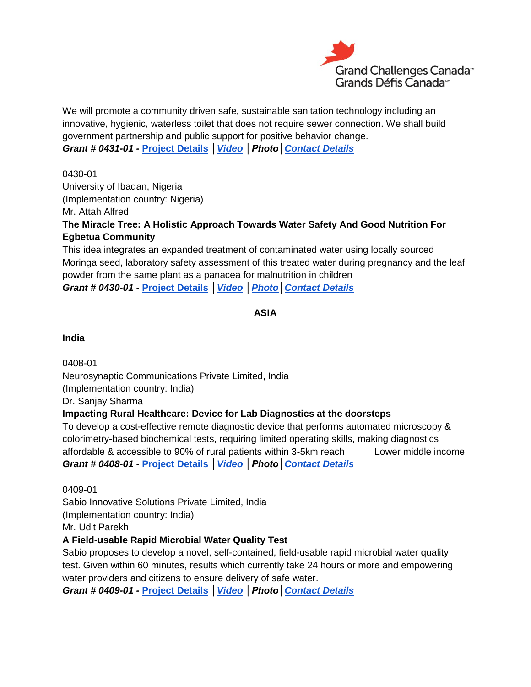

We will promote a community driven safe, sustainable sanitation technology including an innovative, hygienic, waterless toilet that does not require sewer connection. We shall build government partnership and public support for positive behavior change. *Grant # 0431-01 -* **[Project Details](http://bit.ly/1aPvmeS)** *[│Video](http://youtu.be/CRag11MU0uE) │Photo[│Contact Details](http://bit.ly/1iZweSK)*

0430-01

University of Ibadan, Nigeria

(Implementation country: Nigeria)

Mr. Attah Alfred

**The Miracle Tree: A Holistic Approach Towards Water Safety And Good Nutrition For Egbetua Community**

This idea integrates an expanded treatment of contaminated water using locally sourced Moringa seed, laboratory safety assessment of this treated water during pregnancy and the leaf powder from the same plant as a panacea for malnutrition in children *Grant # 0430-01 -* **[Project Details](http://bit.ly/1djl8au)** *[│Video](http://youtu.be/2Pr6UqYNpR4) [│Photo](http://www.flickr.com/photos/gchallenges/tags/043001/)[│Contact Details](http://bit.ly/1iZweSK)*

**ASIA**

**India**

0408-01 Neurosynaptic Communications Private Limited, India (Implementation country: India)

Dr. Sanjay Sharma

#### **Impacting Rural Healthcare: Device for Lab Diagnostics at the doorsteps**

To develop a cost-effective remote diagnostic device that performs automated microscopy & colorimetry-based biochemical tests, requiring limited operating skills, making diagnostics affordable & accessible to 90% of rural patients within 3-5km reach Lower middle income *Grant # 0408-01 -* **[Project Details](http://bit.ly/1aFkmUP)** *[│Video](http://youtu.be/yA5mWnwPzJc) │Photo[│Contact Details](http://bit.ly/1iZweSK)*

0409-01 Sabio Innovative Solutions Private Limited, India (Implementation country: India) Mr. Udit Parekh

## **A Field-usable Rapid Microbial Water Quality Test**

Sabio proposes to develop a novel, self-contained, field-usable rapid microbial water quality test. Given within 60 minutes, results which currently take 24 hours or more and empowering water providers and citizens to ensure delivery of safe water.

*Grant # 0409-01 -* **[Project Details](http://bit.ly/HpaAvX)** *[│Video](http://youtu.be/d7JzaMcxths) │Photo[│Contact Details](http://bit.ly/1iZweSK)*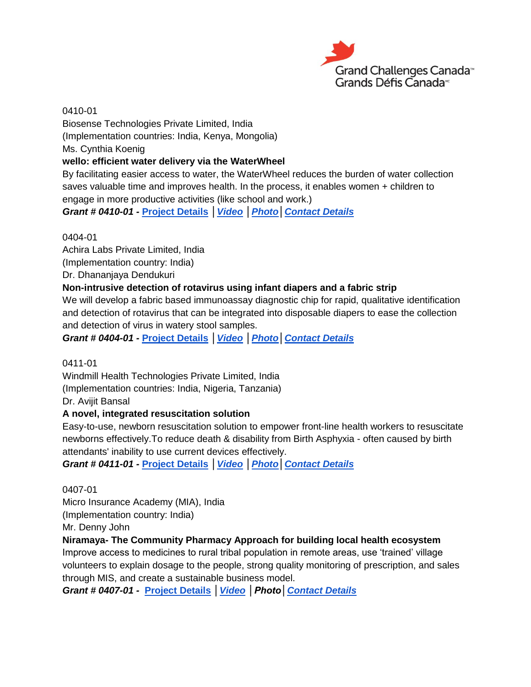

0410-01 Biosense Technologies Private Limited, India (Implementation countries: India, Kenya, Mongolia) Ms. Cynthia Koenig **wello: efficient water delivery via the WaterWheel** By facilitating easier access to water, the WaterWheel reduces the burden of water collection saves valuable time and improves health. In the process, it enables women + children to engage in more productive activities (like school and work.) *Grant # 0410-01 -* **[Project Details](http://bit.ly/16jwrxv)** *[│Video](http://youtu.be/2ECZ3mS-ZLQ) [│Photo](http://www.flickr.com/photos/gchallenges/tags/041001/)[│Contact](http://bit.ly/1iZweSK) Details*

#### 0404-01

Achira Labs Private Limited, India

(Implementation country: India)

Dr. Dhananjaya Dendukuri

#### **Non-intrusive detection of rotavirus using infant diapers and a fabric strip**

We will develop a fabric based immunoassay diagnostic chip for rapid, qualitative identification and detection of rotavirus that can be integrated into disposable diapers to ease the collection and detection of virus in watery stool samples.

*Grant # 0404-01 -* **[Project Details](http://bit.ly/1acbmlQ)** *[│Video](http://youtu.be/9iabz8rCU10) [│Photo](http://www.flickr.com/photos/gchallenges/tags/040401/)[│Contact Details](http://bit.ly/1iZweSK)*

#### 0411-01

Windmill Health Technologies Private Limited, India (Implementation countries: India, Nigeria, Tanzania)

Dr. Avijit Bansal

#### **A novel, integrated resuscitation solution**

Easy-to-use, newborn resuscitation solution to empower front-line health workers to resuscitate newborns effectively.To reduce death & disability from Birth Asphyxia - often caused by birth attendants' inability to use current devices effectively.

*Grant # 0411-01 -* **[Project Details](http://bit.ly/1dmz17Y)** *[│Video](http://youtu.be/-uriWDT0sbo) [│Photo](http://www.flickr.com/photos/gchallenges/tags/041101/)[│Contact Details](http://bit.ly/1iZweSK)*

0407-01 Micro Insurance Academy (MIA), India (Implementation country: India)

Mr. Denny John

#### **Niramaya- The Community Pharmacy Approach for building local health ecosystem**

Improve access to medicines to rural tribal population in remote areas, use 'trained' village volunteers to explain dosage to the people, strong quality monitoring of prescription, and sales through MIS, and create a sustainable business model.

*Grant # 0407-01 -* **[Project Details](http://bit.ly/1azjrTX)** *[│Video](http://youtu.be/cQUhCVfDN28) │Photo[│Contact Details](http://bit.ly/1iZweSK)*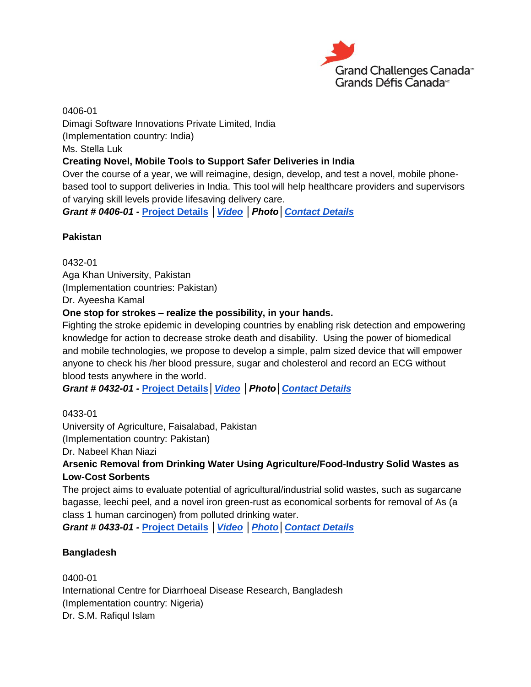

0406-01 Dimagi Software Innovations Private Limited, India (Implementation country: India) Ms. Stella Luk **Creating Novel, Mobile Tools to Support Safer Deliveries in India** Over the course of a year, we will reimagine, design, develop, and test a novel, mobile phonebased tool to support deliveries in India. This tool will help healthcare providers and supervisors of varying skill levels provide lifesaving delivery care.

*Grant # 0406-01 -* **[Project Details](http://bit.ly/1ga2KEL)** *[│Video](http://youtu.be/CBkB4LMk4DQ) │Photo[│Contact Details](http://bit.ly/1iZweSK)*

#### **Pakistan**

0432-01 Aga Khan University, Pakistan (Implementation countries: Pakistan) Dr. Ayeesha Kamal

#### **One stop for strokes – realize the possibility, in your hands.**

Fighting the stroke epidemic in developing countries by enabling risk detection and empowering knowledge for action to decrease stroke death and disability. Using the power of biomedical and mobile technologies, we propose to develop a simple, palm sized device that will empower anyone to check his /her blood pressure, sugar and cholesterol and record an ECG without blood tests anywhere in the world.

*Grant # 0432-01 -* **[Project Details](http://bit.ly/1diV8Mq)***[│Video](http://youtu.be/Hemwx9srdAs) │Photo[│Contact Details](http://bit.ly/1iZweSK)*

#### 0433-01

University of Agriculture, Faisalabad, Pakistan (Implementation country: Pakistan)

Dr. Nabeel Khan Niazi

## **Arsenic Removal from Drinking Water Using Agriculture/Food-Industry Solid Wastes as Low-Cost Sorbents**

The project aims to evaluate potential of agricultural/industrial solid wastes, such as sugarcane bagasse, leechi peel, and a novel iron green-rust as economical sorbents for removal of As (a class 1 human carcinogen) from polluted drinking water.

*Grant # 0433-01 -* **[Project Details](http://bit.ly/1g7KLif)** *[│Video](http://youtu.be/qdkWKESF_R0) [│Photo](http://www.flickr.com/photos/gchallenges/tags/043301/)[│Contact Details](http://bit.ly/1iZweSK)*

#### **Bangladesh**

0400-01 International Centre for Diarrhoeal Disease Research, Bangladesh (Implementation country: Nigeria) Dr. S.M. Rafiqul Islam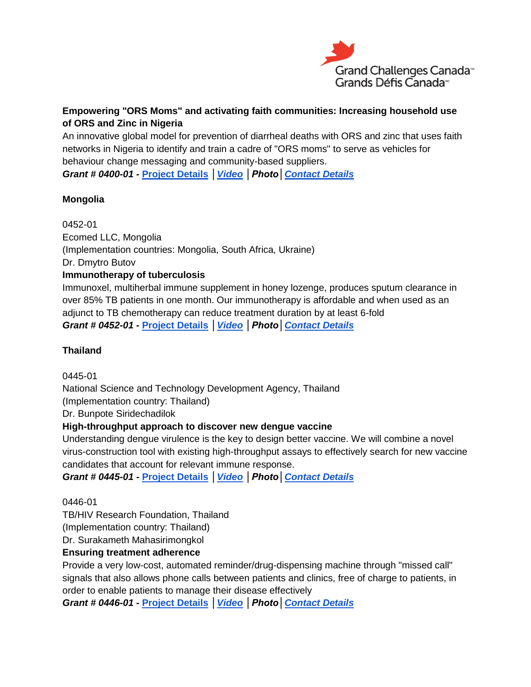

## **Empowering "ORS Moms" and activating faith communities: Increasing household use of ORS and Zinc in Nigeria**

An innovative global model for prevention of diarrheal deaths with ORS and zinc that uses faith networks in Nigeria to identify and train a cadre of "ORS moms" to serve as vehicles for behaviour change messaging and community-based suppliers.

*Grant # 0400-01 -* **[Project Details](http://bit.ly/1ho35m7)** *[│Video](http://youtu.be/TBwUBd65YDo) │Photo[│Contact Details](http://bit.ly/1iZweSK)*

## **Mongolia**

0452-01 Ecomed LLC, Mongolia (Implementation countries: Mongolia, South Africa, Ukraine) Dr. Dmytro Butov **Immunotherapy of tuberculosis** Immunoxel, multiherbal immune supplement in honey lozenge, produces sputum clearance in over 85% TB patients in one month. Our immunotherapy is affordable and when used as an adjunct to TB chemotherapy can reduce treatment duration by at least 6-fold

*Grant # 0452-01 -* **[Project Details](http://bit.ly/16GWUlF)** *[│Video](http://youtu.be/s0xuPKEZGOc) │Photo[│Contact Details](http://bit.ly/1iZweSK)*

## **Thailand**

0445-01

National Science and Technology Development Agency, Thailand (Implementation country: Thailand)

Dr. Bunpote Siridechadilok

## **High-throughput approach to discover new dengue vaccine**

Understanding dengue virulence is the key to design better vaccine. We will combine a novel virus-construction tool with existing high-throughput assays to effectively search for new vaccine candidates that account for relevant immune response.

*Grant # 0445-01 -* **[Project Details](http://bit.ly/HcrfSK)** *[│Video](http://youtu.be/N5aGFKIXXLw) │Photo[│Contact Details](http://bit.ly/1iZweSK)*

## 0446-01

TB/HIV Research Foundation, Thailand

(Implementation country: Thailand)

Dr. Surakameth Mahasirimongkol

## **Ensuring treatment adherence**

Provide a very low-cost, automated reminder/drug-dispensing machine through "missed call" signals that also allows phone calls between patients and clinics, free of charge to patients, in order to enable patients to manage their disease effectively

*Grant # 0446-01 -* **[Project Details](http://bit.ly/1gWgRP8)** *[│Video](http://youtu.be/AonupRfwNp0) │Photo[│Contact Details](http://bit.ly/1iZweSK)*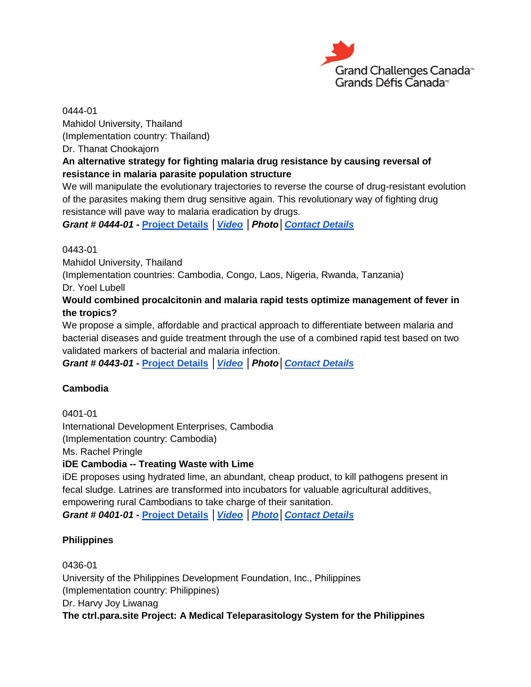

0444-01 Mahidol University, Thailand (Implementation country: Thailand) Dr. Thanat Chookajorn

## **An alternative strategy for fighting malaria drug resistance by causing reversal of resistance in malaria parasite population structure**

We will manipulate the evolutionary trajectories to reverse the course of drug-resistant evolution of the parasites making them drug sensitive again. This revolutionary way of fighting drug resistance will pave way to malaria eradication by drugs.

*Grant # 0444-01 -* **[Project Details](http://bit.ly/1irWWTJ)** *[│Video](http://youtu.be/J_uwX4F3OaA) │Photo[│Contact Details](http://bit.ly/1iZweSK)*

#### 0443-01

Mahidol University, Thailand

(Implementation countries: Cambodia, Congo, Laos, Nigeria, Rwanda, Tanzania)

Dr. Yoel Lubell

## **Would combined procalcitonin and malaria rapid tests optimize management of fever in the tropics?**

We propose a simple, affordable and practical approach to differentiate between malaria and bacterial diseases and guide treatment through the use of a combined rapid test based on two validated markers of bacterial and malaria infection.

*Grant # 0443-01 -* **[Project Details](http://bit.ly/1avkt3v)** *[│Video](http://youtu.be/S0mbzTHxqwY) │Photo[│Contact Details](http://bit.ly/1iZweSK)*

## **Cambodia**

0401-01

International Development Enterprises, Cambodia

(Implementation country: Cambodia)

Ms. Rachel Pringle

## **iDE Cambodia -- Treating Waste with Lime**

iDE proposes using hydrated lime, an abundant, cheap product, to kill pathogens present in fecal sludge. Latrines are transformed into incubators for valuable agricultural additives, empowering rural Cambodians to take charge of their sanitation.

*Grant # 0401-01 -* **[Project Details](http://bit.ly/1ipNIqV)** *[│Video](http://youtu.be/jDGefsKq8vM) [│Photo](http://www.flickr.com/photos/gchallenges/tags/040101/)[│Contact Details](http://bit.ly/1iZweSK)*

## **Philippines**

0436-01 University of the Philippines Development Foundation, Inc., Philippines (Implementation country: Philippines) Dr. Harvy Joy Liwanag **The ctrl.para.site Project: A Medical Teleparasitology System for the Philippines**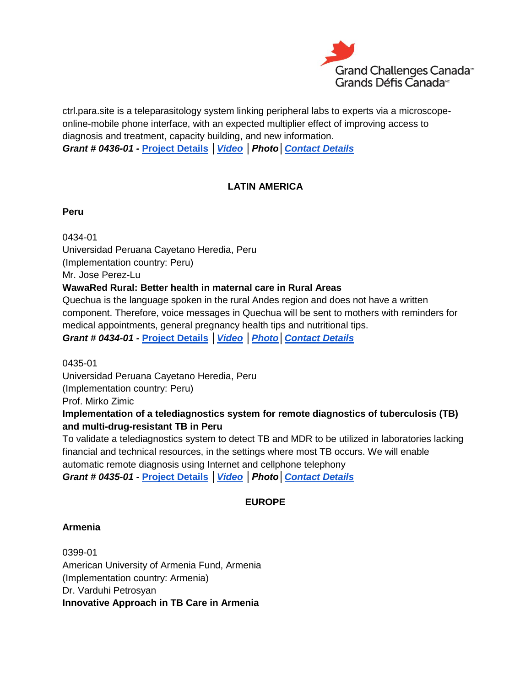

ctrl.para.site is a teleparasitology system linking peripheral labs to experts via a microscopeonline-mobile phone interface, with an expected multiplier effect of improving access to diagnosis and treatment, capacity building, and new information. *Grant # 0436-01 -* **[Project Details](http://bit.ly/16hzS7M)** *[│Video](http://youtu.be/exVOgeeJrJE) │Photo[│Contact Details](http://bit.ly/1iZweSK)*

## **LATIN AMERICA**

#### **Peru**

0434-01 Universidad Peruana Cayetano Heredia, Peru (Implementation country: Peru) Mr. Jose Perez-Lu **WawaRed Rural: Better health in maternal care in Rural Areas**

Quechua is the language spoken in the rural Andes region and does not have a written component. Therefore, voice messages in Quechua will be sent to mothers with reminders for medical appointments, general pregnancy health tips and nutritional tips.

*Grant # 0434-01 -* **[Project Details](http://bit.ly/1cdPhHb)** *[│Video](http://youtu.be/aLN6_1kGpcU) [│Photo](http://www.flickr.com/photos/gchallenges/tags/043401/)[│Contact Details](http://bit.ly/1iZweSK)*

0435-01

Universidad Peruana Cayetano Heredia, Peru (Implementation country: Peru)

Prof. Mirko Zimic

## **Implementation of a telediagnostics system for remote diagnostics of tuberculosis (TB) and multi-drug-resistant TB in Peru**

To validate a telediagnostics system to detect TB and MDR to be utilized in laboratories lacking financial and technical resources, in the settings where most TB occurs. We will enable automatic remote diagnosis using Internet and cellphone telephony *Grant # 0435-01 -* **[Project Details](http://bit.ly/1gYzodL)** *[│Video](http://youtu.be/7mskcz7DM-8) │Photo[│Contact Details](http://bit.ly/1iZweSK)*

## **EUROPE**

#### **Armenia**

0399-01 American University of Armenia Fund, Armenia (Implementation country: Armenia) Dr. Varduhi Petrosyan **Innovative Approach in TB Care in Armenia**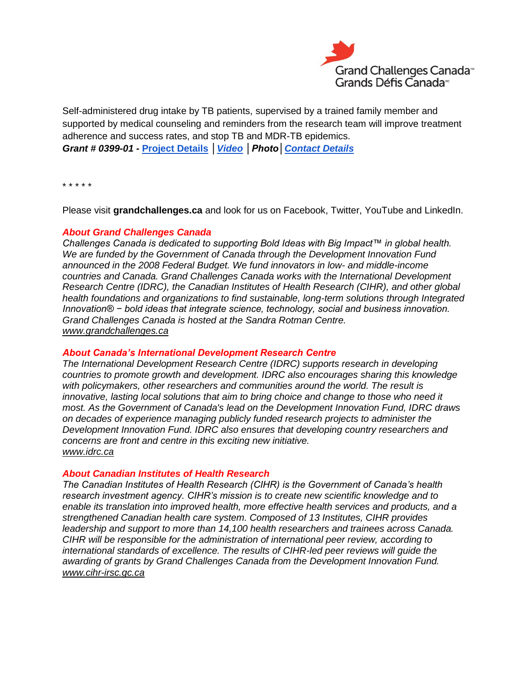

Self-administered drug intake by TB patients, supervised by a trained family member and supported by medical counseling and reminders from the research team will improve treatment adherence and success rates, and stop TB and MDR-TB epidemics. *Grant # 0399-01 -* **[Project Details](http://bit.ly/16jBzl5)** *[│Video](http://youtu.be/heEfsaNT5cE) │Photo[│Contact Details](http://bit.ly/1iZweSK)*

\* \* \* \* \*

Please visit **[grandchallenges.ca](http://www.grandchallenges.ca/)** and look for us on Facebook, Twitter, YouTube and LinkedIn.

#### *About Grand Challenges Canada*

*Challenges Canada is dedicated to supporting Bold Ideas with Big Impact™ in global health. We are funded by the Government of Canada through the Development Innovation Fund announced in the 2008 Federal Budget. We fund innovators in low- and middle-income countries and Canada. Grand Challenges Canada works with the International Development Research Centre (IDRC), the Canadian Institutes of Health Research (CIHR), and other global health foundations and organizations to find sustainable, long-term solutions through Integrated Innovation® − bold ideas that integrate science, technology, social and business innovation. Grand Challenges Canada is hosted at the Sandra Rotman Centre. [www.grandchallenges.ca](http://www.grandchallenges.ca/)*

#### *About Canada's International Development Research Centre*

*The International Development Research Centre (IDRC) supports research in developing countries to promote growth and development. IDRC also encourages sharing this knowledge with policymakers, other researchers and communities around the world. The result is innovative, lasting local solutions that aim to bring choice and change to those who need it most. As the Government of Canada's lead on the Development Innovation Fund, IDRC draws on decades of experience managing publicly funded research projects to administer the Development Innovation Fund. IDRC also ensures that developing country researchers and concerns are front and centre in this exciting new initiative. [www.idrc.ca](http://www.idrc.ca/)*

#### *About Canadian Institutes of Health Research*

*The Canadian Institutes of Health Research (CIHR) is the Government of Canada's health research investment agency. CIHR's mission is to create new scientific knowledge and to enable its translation into improved health, more effective health services and products, and a strengthened Canadian health care system. Composed of 13 Institutes, CIHR provides leadership and support to more than 14,100 health researchers and trainees across Canada. CIHR will be responsible for the administration of international peer review, according to international standards of excellence. The results of CIHR-led peer reviews will guide the awarding of grants by Grand Challenges Canada from the Development Innovation Fund. [www.cihr-irsc.gc.ca](http://www.cihr-irsc.gc.ca/)*